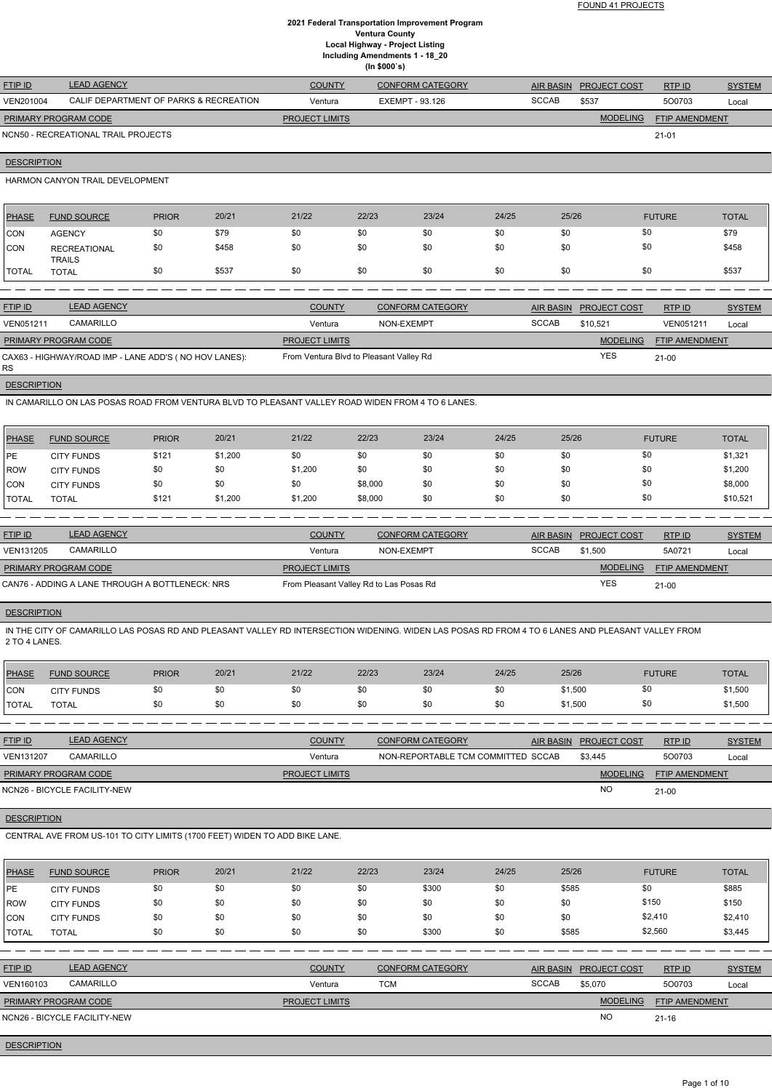FOUND 41 PROJECTS

# **2021 Federal Transportation Improvement Program Ventura County Local Highway - Project Listing Including Amendments 1 - 18\_20 (In \$000`s)**

| <b>FTIP ID</b>              | <b>LEAD AGENCY</b>                     | <b>COUNTY</b>         | <b>CONFORM CATEGORY</b> |              | AIR BASIN PROJECT COST | RTPID                 | <b>SYSTEM</b> |
|-----------------------------|----------------------------------------|-----------------------|-------------------------|--------------|------------------------|-----------------------|---------------|
| VEN201004                   | CALIF DEPARTMENT OF PARKS & RECREATION | Ventura               | EXEMPT - 93.126         | <b>SCCAB</b> | \$537                  | 500703                | Local         |
| <b>PRIMARY PROGRAM CODE</b> |                                        | <b>PROJECT LIMITS</b> |                         |              | <b>MODELING</b>        | <b>FTIP AMENDMENT</b> |               |
|                             | NCN50 - RECREATIONAL TRAIL PROJECTS    |                       |                         |              |                        | $21 - 01$             |               |

**DESCRIPTION** 

HARMON CANYON TRAIL DEVELOPMENT

| PHASE        | <b>FUND SOURCE</b>                   | <b>PRIOR</b> | 20/21 | 21/22 | 22/23 | 23/24 | 24/25 | 25/26 | <b>FUTURE</b> | <b>TOTAL</b> |
|--------------|--------------------------------------|--------------|-------|-------|-------|-------|-------|-------|---------------|--------------|
| <b>CON</b>   | <b>AGENCY</b>                        | \$0          | \$79  | \$0   | \$0   | \$0   | \$0   | \$0   | \$0           | \$79         |
| <b>CON</b>   | <b>RECREATIONAL</b><br><b>TRAILS</b> | \$0          | \$458 | \$0   | \$0   | \$0   | \$0   | \$0   | \$0           | \$458        |
| <b>TOTAL</b> | <b>TOTAL</b>                         | \$0          | \$537 | \$0   | \$0   | \$0   | \$0   | \$0   | \$0           | \$537        |
|              |                                      |              |       |       |       |       |       |       |               |              |

| <b>FTIP ID</b>       | <b>LEAD AGENCY</b>                                    | <b>COUNTY</b>                           | <b>CONFORM CATEGORY</b> |              | AIR BASIN PROJECT COST | RTP ID           | <b>SYSTEM</b> |
|----------------------|-------------------------------------------------------|-----------------------------------------|-------------------------|--------------|------------------------|------------------|---------------|
| <b>VEN051211</b>     | CAMARILLO                                             | Ventura                                 | NON-EXEMPT              | <b>SCCAB</b> | \$10.521               | <b>VEN051211</b> | Local         |
| PRIMARY PROGRAM CODE |                                                       | <b>PROJECT LIMITS</b>                   |                         |              | <b>MODELING</b>        | FTIP AMENDMENT   |               |
| RS.                  | CAX63 - HIGHWAY/ROAD IMP - LANE ADD'S (NO HOV LANES): | From Ventura Blvd to Pleasant Valley Rd |                         |              | <b>YES</b>             | $21 - 00$        |               |

**DESCRIPTION** 

IN CAMARILLO ON LAS POSAS ROAD FROM VENTURA BLVD TO PLEASANT VALLEY ROAD WIDEN FROM 4 TO 6 LANES.

| PHASE        | <b>FUND SOURCE</b> | <b>PRIOR</b> | 20/21   | 21/22   | 22/23   | 23/24 | 24/25 | 25/26 | <b>FUTURE</b> | <b>TOTAL</b> |
|--------------|--------------------|--------------|---------|---------|---------|-------|-------|-------|---------------|--------------|
| <b>IPE</b>   | <b>CITY FUNDS</b>  | \$121        | \$1,200 | \$0     | \$0     | \$0   | \$0   | \$0   | \$0           | \$1,321      |
| ROW          | <b>CITY FUNDS</b>  | \$0          | \$0     | \$1,200 | \$0     | \$0   | \$0   | \$0   | \$0           | \$1,200      |
| <b>CON</b>   | <b>CITY FUNDS</b>  | \$0          | \$0     | \$0     | \$8,000 | \$0   | \$0   | \$0   | \$0           | \$8,000      |
| <b>TOTAL</b> | TOTAL              | \$121        | \$1,200 | \$1,200 | \$8,000 | \$0   | \$0   | \$0   | \$0           | \$10,521     |

| <b>FTIP ID</b>       | <b>LEAD AGENCY</b>                              | <b>COUNTY</b>                           | CONFORM CATEGORY |              | AIR BASIN PROJECT COST | RTPID                 | <b>SYSTEM</b> |
|----------------------|-------------------------------------------------|-----------------------------------------|------------------|--------------|------------------------|-----------------------|---------------|
| <b>VEN131205</b>     | CAMARILLO                                       | Ventura                                 | NON-EXEMPT       | <b>SCCAB</b> | \$1,500                | 5A0721                | Local         |
| PRIMARY PROGRAM CODE |                                                 | <b>PROJECT LIMITS</b>                   |                  |              | <b>MODELING</b>        | <b>FTIP AMENDMENT</b> |               |
|                      | CAN76 - ADDING A LANE THROUGH A BOTTLENECK: NRS | From Pleasant Valley Rd to Las Posas Rd |                  |              | YES                    | $21 - 00$             |               |

# **DESCRIPTION**

IN THE CITY OF CAMARILLO LAS POSAS RD AND PLEASANT VALLEY RD INTERSECTION WIDENING. WIDEN LAS POSAS RD FROM 4 TO 6 LANES AND PLEASANT VALLEY FROM 2 TO 4 LANES.

| PHASE        | <b>FUND SOURCE</b> | <b>PRIOR</b> | 20/21 | 21/22 | 22/23 | 23/24 | 24/25 | 25/26   | <b>FUTURE</b> | <b>TOTAL</b> |
|--------------|--------------------|--------------|-------|-------|-------|-------|-------|---------|---------------|--------------|
| <b>CON</b>   | <b>CITY FUNDS</b>  |              | \$0   |       | \$0   | \$0   | \$0   | \$1,500 |               | \$1,500      |
| <b>TOTAL</b> | TOTAL              |              | \$0   |       |       | \$0   | \$0   | \$1,500 |               | \$1,500      |

| <b>FTIP ID</b>              | <b>LEAD AGENCY</b>           | <b>COUNTY</b>         | <b>CONFORM CATEGORY</b>            | AIR BASIN PROJECT COST | RTPID                 | <b>SYSTEM</b> |
|-----------------------------|------------------------------|-----------------------|------------------------------------|------------------------|-----------------------|---------------|
| <b>VEN131207</b>            | <b>CAMARILLO</b>             | Ventura               | NON-REPORTABLE TCM COMMITTED SCCAB | \$3.445                | 500703                | Local         |
| <b>PRIMARY PROGRAM CODE</b> |                              | <b>PROJECT LIMITS</b> |                                    | <b>MODELING</b>        | <b>FTIP AMENDMENT</b> |               |
|                             | NCN26 - BICYCLE FACILITY-NEW |                       |                                    | <b>NC</b>              | $21 - 00$             |               |

**DESCRIPTION** 

# CENTRAL AVE FROM US-101 TO CITY LIMITS (1700 FEET) WIDEN TO ADD BIKE LANE.

| <b>PHASE</b>   | <b>FUND SOURCE</b>           | <b>PRIOR</b> | 20/21 | 21/22                 | 22/23      | 23/24                   | 24/25 | 25/26            |                     | <b>FUTURE</b>         | <b>TOTAL</b>  |
|----------------|------------------------------|--------------|-------|-----------------------|------------|-------------------------|-------|------------------|---------------------|-----------------------|---------------|
| PE             | <b>CITY FUNDS</b>            | \$0          | \$0   | \$0                   | \$0        | \$300                   | \$0   | \$585            |                     | \$0                   | \$885         |
| ROW            | <b>CITY FUNDS</b>            | \$0          | \$0   | \$0                   | \$0        | \$0                     | \$0   | \$0              |                     | \$150                 | \$150         |
| <b>CON</b>     | <b>CITY FUNDS</b>            | \$0          | \$0   | \$0                   | \$0        | \$0                     | \$0   | \$0              |                     | \$2,410               | \$2,410       |
| <b>TOTAL</b>   | <b>TOTAL</b>                 | \$0          | \$0   | \$0                   | \$0        | \$300                   | \$0   | \$585            |                     | \$2,560               | \$3,445       |
|                |                              |              |       |                       |            |                         |       |                  |                     |                       |               |
| <b>FTIP ID</b> | <b>LEAD AGENCY</b>           |              |       | <b>COUNTY</b>         |            | <b>CONFORM CATEGORY</b> |       | <b>AIR BASIN</b> | <b>PROJECT COST</b> | RTP ID                | <b>SYSTEM</b> |
| VEN160103      | CAMARILLO                    |              |       | Ventura               | <b>TCM</b> |                         |       | <b>SCCAB</b>     | \$5,070             | 500703                | Local         |
|                | PRIMARY PROGRAM CODE         |              |       | <b>PROJECT LIMITS</b> |            |                         |       |                  | <b>MODELING</b>     | <b>FTIP AMENDMENT</b> |               |
|                | NCN26 - BICYCLE FACILITY-NEW |              |       |                       |            |                         |       |                  | <b>NO</b>           | $21 - 16$             |               |

# **DESCRIPTION**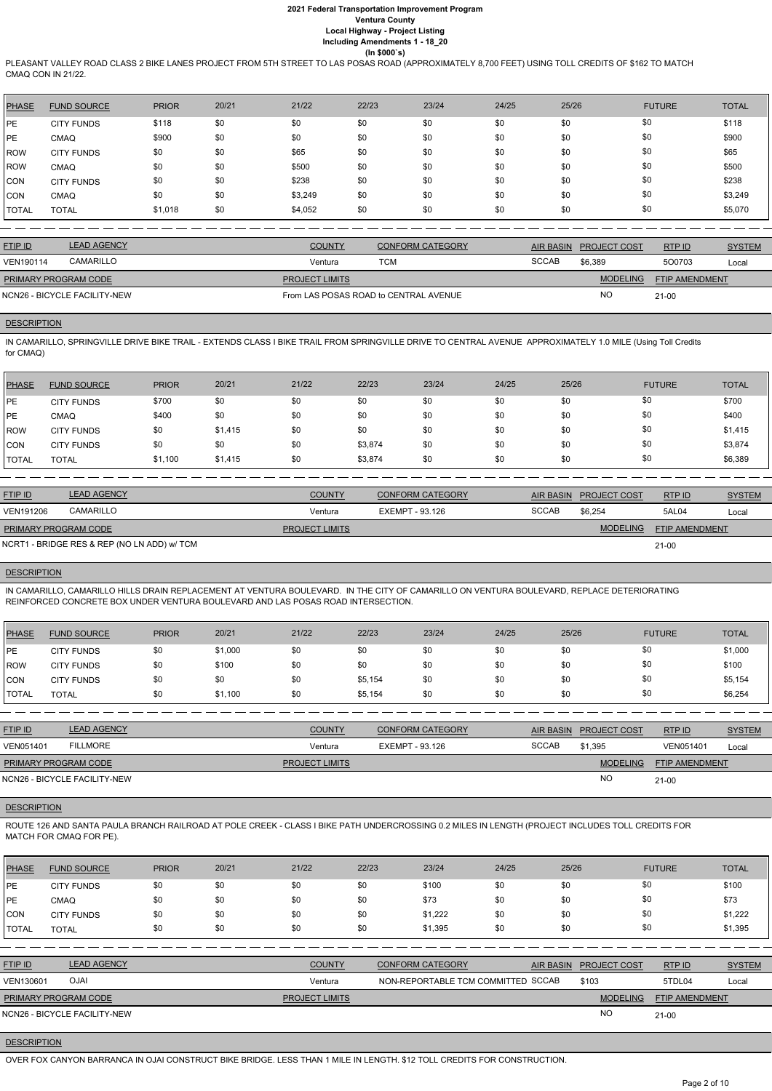PLEASANT VALLEY ROAD CLASS 2 BIKE LANES PROJECT FROM 5TH STREET TO LAS POSAS ROAD (APPROXIMATELY 8,700 FEET) USING TOLL CREDITS OF \$162 TO MATCH CMAQ CON IN 21/22.

| <b>PHASE</b> | <b>FUND SOURCE</b> | <b>PRIOR</b> | 20/21 | 21/22   | 22/23 | 23/24 | 24/25 | 25/26 | <b>FUTURE</b> | <b>TOTAL</b> |
|--------------|--------------------|--------------|-------|---------|-------|-------|-------|-------|---------------|--------------|
| PE           | <b>CITY FUNDS</b>  | \$118        | \$0   | \$0     | \$0   | \$0   | \$0   | \$0   | \$0           | \$118        |
| <b>PE</b>    | <b>CMAQ</b>        | \$900        | \$0   | \$0     | \$0   | \$0   | \$0   | \$0   | \$0           | \$900        |
| <b>ROW</b>   | <b>CITY FUNDS</b>  | \$0          | \$0   | \$65    | \$0   | \$0   | \$0   | \$0   | \$0           | \$65         |
| <b>ROW</b>   | <b>CMAQ</b>        | \$0          | \$0   | \$500   | \$0   | \$0   | \$0   | \$0   | \$0           | \$500        |
| <b>CON</b>   | <b>CITY FUNDS</b>  | \$0          | \$0   | \$238   | \$0   | \$0   | \$0   | \$0   | \$0           | \$238        |
| <b>CON</b>   | <b>CMAQ</b>        | \$0          | \$0   | \$3,249 | \$0   | \$0   | \$0   | \$0   | \$0           | \$3,249      |
| <b>TOTAL</b> | <b>TOTAL</b>       | \$1,018      | \$0   | \$4,052 | \$0   | \$0   | \$0   | \$0   | \$0           | \$5,070      |

| <b>FTIP ID</b>              | <b>LEAD AGENCY</b>           | <b>COUNTY</b>         | <b>CONFORM CATEGORY</b>               | AIR BASIN    | <b>PROJECT COST</b> | RTPID                 | <b>SYSTEM</b> |
|-----------------------------|------------------------------|-----------------------|---------------------------------------|--------------|---------------------|-----------------------|---------------|
| VEN190114                   | <b>CAMARILLO</b>             | Ventura               | тсм                                   | <b>SCCAB</b> | \$6.389             | 500703                | Local         |
| <b>PRIMARY PROGRAM CODE</b> |                              | <b>PROJECT LIMITS</b> |                                       |              | <b>MODELING</b>     | <b>FTIP AMENDMENT</b> |               |
|                             | NCN26 - BICYCLE FACILITY-NEW |                       | From LAS POSAS ROAD to CENTRAL AVENUE |              | <b>NO</b>           | $21-00$               |               |

# **DESCRIPTION**

IN CAMARILLO, SPRINGVILLE DRIVE BIKE TRAIL - EXTENDS CLASS I BIKE TRAIL FROM SPRINGVILLE DRIVE TO CENTRAL AVENUE APPROXIMATELY 1.0 MILE (Using Toll Credits for CMAQ)

| <b>PHASE</b> | <b>FUND SOURCE</b> | <b>PRIOR</b> | 20/21   | 21/22 | 22/23   | 23/24 | 24/25 | 25/26 | <b>FUTURE</b> | <b>TOTAL</b> |
|--------------|--------------------|--------------|---------|-------|---------|-------|-------|-------|---------------|--------------|
| l PE         | <b>CITY FUNDS</b>  | \$700        | \$0     | \$0   | \$0     | \$0   | \$0   | \$0   | \$0           | \$700        |
| PE           | <b>CMAQ</b>        | \$400        | \$0     | \$0   | \$0     | \$0   | \$0   | \$0   | \$0           | \$400        |
| ROW          | <b>CITY FUNDS</b>  | \$0          | \$1,415 | \$0   | \$0     | \$0   | \$0   | \$0   | \$0           | \$1,415      |
| <b>CON</b>   | <b>CITY FUNDS</b>  | \$0          | \$0     | \$0   | \$3,874 | \$0   | \$0   | \$0   | \$0           | \$3,874      |
| <b>TOTAL</b> | <b>TOTAL</b>       | \$1,100      | \$1,415 | \$0   | \$3,874 | \$0   | \$0   | \$0   | \$0           | \$6,389      |

| <b>FTIP ID</b>              | <b>LEAD AGENCY</b>                          | <b>COUNTY</b>         | <b>CONFORM CATEGORY</b> | <b>AIR BASIN</b> | <b>PROJECT COST</b> | RTP ID                | <b>SYSTEM</b> |
|-----------------------------|---------------------------------------------|-----------------------|-------------------------|------------------|---------------------|-----------------------|---------------|
| <b>VEN191206</b>            | CAMARILLO                                   | Ventura               | EXEMPT - 93.126         | <b>SCCAB</b>     | \$6,254             | 5AL04                 | Local         |
| <b>PRIMARY PROGRAM CODE</b> |                                             | <b>PROJECT LIMITS</b> |                         |                  | <b>MODELING</b>     | <b>FTIP AMENDMENT</b> |               |
|                             | NCRT1 - BRIDGE RES & REP (NO LN ADD) w/ TCM |                       |                         |                  |                     | $21-00$               |               |

# **DESCRIPTION**

IN CAMARILLO, CAMARILLO HILLS DRAIN REPLACEMENT AT VENTURA BOULEVARD. IN THE CITY OF CAMARILLO ON VENTURA BOULEVARD, REPLACE DETERIORATING REINFORCED CONCRETE BOX UNDER VENTURA BOULEVARD AND LAS POSAS ROAD INTERSECTION.

| <b>PHASE</b>     | <b>FUND SOURCE</b> | <b>PRIOR</b> | 20/21   | 21/22 | 22/23   | 23/24 | 24/25 | 25/26 | <b>FUTURE</b> | <b>TOTAL</b> |
|------------------|--------------------|--------------|---------|-------|---------|-------|-------|-------|---------------|--------------|
| PE               | <b>CITY FUNDS</b>  | \$0          | \$1,000 | \$0   | \$0     | \$0   | \$0   | \$0   | \$0           | \$1,000      |
| ROW <sup>'</sup> | <b>CITY FUNDS</b>  | \$0          | \$100   | \$0   | \$0     | \$0   | \$0   | \$0   | \$0           | \$100        |
| <b>CON</b>       | <b>CITY FUNDS</b>  | \$0          | \$0     | \$0   | \$5,154 | \$0   | \$0   | \$0   | \$0           | \$5,154      |
| <b>TOTAL</b>     | <b>TOTAL</b>       | \$0          | \$1,100 | \$0   | \$5,154 | \$0   | \$0   | \$0   | \$0           | \$6,254      |

| <b>FTIP ID</b>              | <b>LEAD AGENCY</b>           | <b>COUNTY</b>         | <b>CONFORM CATEGORY</b> |              | AIR BASIN PROJECT COST | RTP ID                | <b>SYSTEM</b> |
|-----------------------------|------------------------------|-----------------------|-------------------------|--------------|------------------------|-----------------------|---------------|
| <b>VEN051401</b>            | <b>FILLMORE</b>              | Ventura               | EXEMPT - 93.126         | <b>SCCAB</b> | \$1,395                | VEN051401             | Local         |
| <b>PRIMARY PROGRAM CODE</b> |                              | <b>PROJECT LIMITS</b> |                         |              | <b>MODELING</b>        | <b>FTIP AMENDMENT</b> |               |
|                             | NCN26 - BICYCLE FACILITY-NEW |                       |                         |              | <b>NO</b>              | $21 - 00$             |               |

### **DESCRIPTION**

ROUTE 126 AND SANTA PAULA BRANCH RAILROAD AT POLE CREEK - CLASS I BIKE PATH UNDERCROSSING 0.2 MILES IN LENGTH (PROJECT INCLUDES TOLL CREDITS FOR MATCH FOR CMAQ FOR PE).

| <b>PHASE</b>   | <b>FUND SOURCE</b>           | <b>PRIOR</b> | 20/21 | 21/22                 | 22/23 | 23/24                              | 24/25 | 25/26            |                     | <b>FUTURE</b>         | <b>TOTAL</b>  |
|----------------|------------------------------|--------------|-------|-----------------------|-------|------------------------------------|-------|------------------|---------------------|-----------------------|---------------|
| <b>IPE</b>     | <b>CITY FUNDS</b>            | \$0          | \$0   | \$0                   | \$0   | \$100                              | \$0   | \$0              | \$0                 |                       | \$100         |
| <b>IPE</b>     | CMAQ                         | \$0          | \$0   | \$0                   | \$0   | \$73                               | \$0   | \$0              | \$0                 |                       | \$73          |
| <b>CON</b>     | <b>CITY FUNDS</b>            | \$0          | \$0   | \$0                   | \$0   | \$1,222                            | \$0   | \$0              | \$0                 |                       | \$1,222       |
| <b>TOTAL</b>   | <b>TOTAL</b>                 | \$0          | \$0   | \$0                   | \$0   | \$1,395                            | \$0   | \$0              | \$0                 |                       | \$1,395       |
|                |                              |              |       |                       |       |                                    |       |                  |                     |                       |               |
| <b>FTIP ID</b> | <b>LEAD AGENCY</b>           |              |       | <b>COUNTY</b>         |       | <b>CONFORM CATEGORY</b>            |       | <b>AIR BASIN</b> | <b>PROJECT COST</b> | RTPID                 | <b>SYSTEM</b> |
| VEN130601      | <b>OJAI</b>                  |              |       | Ventura               |       | NON-REPORTABLE TCM COMMITTED SCCAB |       |                  | \$103               | 5TDL04                | Local         |
|                | PRIMARY PROGRAM CODE         |              |       | <b>PROJECT LIMITS</b> |       |                                    |       |                  | <b>MODELING</b>     | <b>FTIP AMENDMENT</b> |               |
|                | NCN26 - BICYCLE FACILITY-NEW |              |       |                       |       |                                    |       |                  | N <sub>O</sub>      | $21 - 00$             |               |

**DESCRIPTION** 

OVER FOX CANYON BARRANCA IN OJAI CONSTRUCT BIKE BRIDGE. LESS THAN 1 MILE IN LENGTH. \$12 TOLL CREDITS FOR CONSTRUCTION.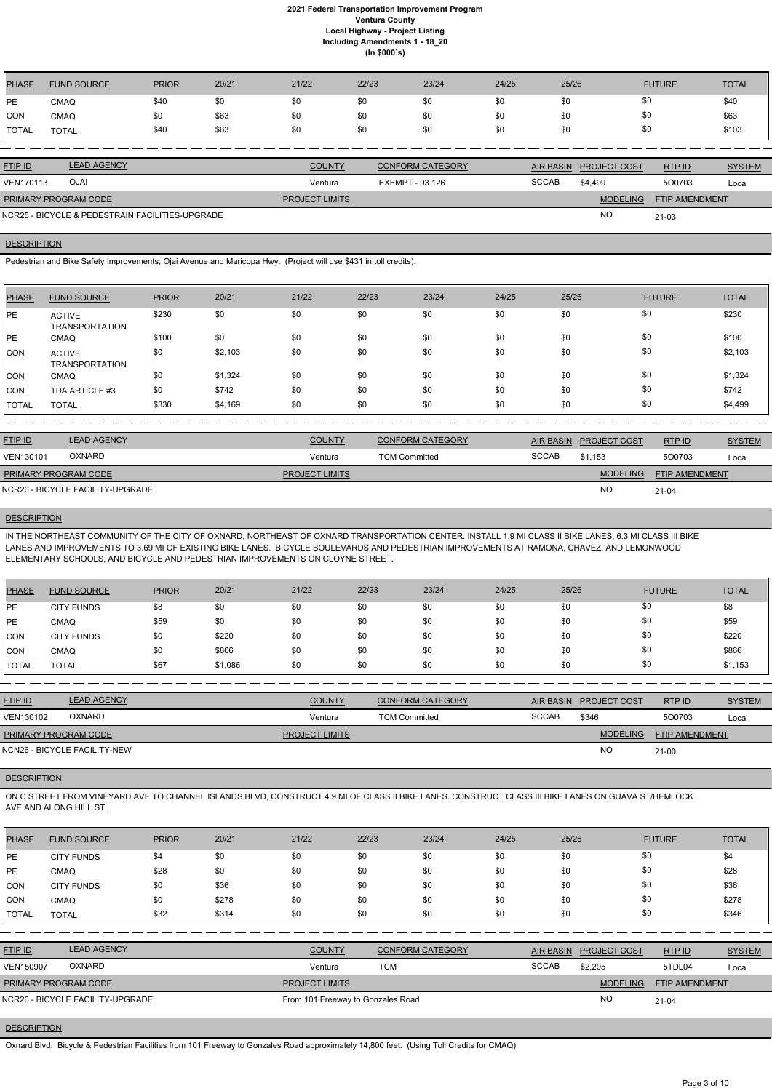| <b>PHASE</b> | <b>FUND SOURCE</b> | <b>PRIOR</b> | 20/21 | 21/22         | 22/23 | 23/24                   | 24/25 | 25/26                  | <b>FUTURE</b> | <b>TOTAL</b>  |
|--------------|--------------------|--------------|-------|---------------|-------|-------------------------|-------|------------------------|---------------|---------------|
| <b>IPE</b>   | <b>CMAQ</b>        | \$40         | \$0   | \$0           | \$0   | \$0                     | \$0   | \$0                    | \$0           | \$40          |
| <b>CON</b>   | <b>CMAQ</b>        | \$0          | \$63  | \$0           | \$0   | \$0                     | \$0   | \$0                    | \$0           | \$63          |
| <b>TOTAL</b> | <b>TOTAL</b>       | \$40         | \$63  | \$0           | \$0   | \$0                     | \$0   | \$0                    | \$0           | \$103         |
|              |                    |              |       |               |       |                         |       |                        |               |               |
| FTIP ID      | <b>LEAD AGENCY</b> |              |       | <b>COUNTY</b> |       | <b>CONFORM CATEGORY</b> |       | AIR BASIN PROJECT COST | RTP ID        | <b>SYSTEM</b> |

| OJAI<br><b>VEN170113</b>                        | Ventura               | EXEMPT - 93.126 | <b>SCCAB</b> | \$4,499         | 500703                | Local |
|-------------------------------------------------|-----------------------|-----------------|--------------|-----------------|-----------------------|-------|
| <b>PRIMARY PROGRAM CODE</b>                     | <b>PROJECT LIMITS</b> |                 |              | <b>MODELING</b> | <b>FTIP AMENDMENT</b> |       |
| NCR25 - BICYCLE & PEDESTRAIN FACILITIES-UPGRADE |                       |                 |              | <b>NO</b>       | $21 - 03$             |       |

### **DESCRIPTION**

Pedestrian and Bike Safety Improvements; Ojai Avenue and Maricopa Hwy. (Project will use \$431 in toll credits).

IN THE NORTHEAST COMMUNITY OF THE CITY OF OXNARD, NORTHEAST OF OXNARD TRANSPORTATION CENTER. INSTALL 1.9 MI CLASS II BIKE LANES, 6.3 MI CLASS III BIKE LANES AND IMPROVEMENTS TO 3.69 MI OF EXISTING BIKE LANES. BICYCLE BOULEVARDS AND PEDESTRIAN IMPROVEMENTS AT RAMONA, CHAVEZ, AND LEMONWOOD ELEMENTARY SCHOOLS, AND BICYCLE AND PEDESTRIAN IMPROVEMENTS ON CLOYNE STREET.

| <b>PHASE</b> | <b>FUND SOURCE</b>                     | <b>PRIOR</b> | 20/21   | 21/22 | 22/23 | 23/24 | 24/25 | 25/26 | <b>FUTURE</b> | <b>TOTAL</b> |
|--------------|----------------------------------------|--------------|---------|-------|-------|-------|-------|-------|---------------|--------------|
| <b>IPE</b>   | <b>ACTIVE</b><br><b>TRANSPORTATION</b> | \$230        | \$0     | \$0   | \$0   | \$0   | \$0   | \$0   | \$0           | \$230        |
| IPE.         | <b>CMAQ</b>                            | \$100        | \$0     | \$0   | \$0   | \$0   | \$0   | \$0   | \$0           | \$100        |
| <b>CON</b>   | <b>ACTIVE</b><br><b>TRANSPORTATION</b> | \$0          | \$2,103 | \$0   | \$0   | \$0   | \$0   | \$0   | \$0           | \$2,103      |
| ICON         | <b>CMAQ</b>                            | \$0          | \$1,324 | \$0   | \$0   | \$0   | \$0   | \$0   | \$0           | \$1,324      |
| <b>CON</b>   | TDA ARTICLE #3                         | \$0          | \$742   | \$0   | \$0   | \$0   | \$0   | \$0   | \$0           | \$742        |
| <b>TOTAL</b> | <b>TOTAL</b>                           | \$330        | \$4,169 | \$0   | \$0   | \$0   | \$0   | \$0   | \$0           | \$4,499      |

| <b>FTIP ID</b>       | <b>LEAD AGENCY</b>               | <b>COUNTY</b>         | <b>CONFORM CATEGORY</b> | AIR BASIN    | <b>PROJECT COST</b> | RTPID                 | <b>SYSTEM</b> |
|----------------------|----------------------------------|-----------------------|-------------------------|--------------|---------------------|-----------------------|---------------|
| VEN130101            | <b>OXNARD</b>                    | Ventura               | <b>TCM Committed</b>    | <b>SCCAB</b> | \$1.153             | 500703                | Local         |
| PRIMARY PROGRAM CODE |                                  | <b>PROJECT LIMITS</b> |                         |              | <b>MODELING</b>     | <b>FTIP AMENDMENT</b> |               |
|                      | NCR26 - BICYCLE FACILITY-UPGRADE |                       |                         |              | <b>NO</b>           | $21 - 04$             |               |

# **DESCRIPTION**

| PHASE          | <b>FUND SOURCE</b> | <b>PRIOR</b> | 20/21   | 21/22 | 22/23 | 23/24 | 24/25 | 25/26 | <b>FUTURE</b> | <b>TOTAL</b> |
|----------------|--------------------|--------------|---------|-------|-------|-------|-------|-------|---------------|--------------|
| PE             | <b>CITY FUNDS</b>  | \$8          | \$0     | \$0   | \$0   | \$0   | \$0   | \$0   | \$0           | \$8          |
| PE             | <b>CMAQ</b>        | \$59         | \$0     | \$0   | \$0   | \$0   | \$0   | \$0   | \$0           | \$59         |
| ICON           | <b>CITY FUNDS</b>  | \$0          | \$220   | \$0   | \$0   | \$0   | \$0   | \$0   | \$0           | \$220        |
| CON            | <b>CMAQ</b>        | \$0          | \$866   | \$0   | \$0   | \$0   | \$0   | \$0   | \$0           | \$866        |
| <b>I</b> TOTAL | TOTAL              | \$67         | \$1,086 | \$0   | \$0   | \$0   | \$0   | \$0   | \$0           | \$1,153      |

| <b>FTIP ID</b>              | <b>LEAD AGENCY</b>           | <b>COUNTY</b>         | <b>CONFORM CATEGORY</b> | AIR BASIN    | <u>PROJECT COST</u> | RTP ID                | <b>SYSTEM</b> |
|-----------------------------|------------------------------|-----------------------|-------------------------|--------------|---------------------|-----------------------|---------------|
| VEN130102                   | <b>OXNARD</b>                | Ventura               | <b>TCM Committed</b>    | <b>SCCAB</b> | \$346               | 500703                | Local         |
| <b>PRIMARY PROGRAM CODE</b> |                              | <b>PROJECT LIMITS</b> |                         |              | <b>MODELING</b>     | <b>FTIP AMENDMENT</b> |               |
|                             | NCN26 - BICYCLE FACILITY-NEW |                       |                         |              | <b>NO</b>           | $21-00$               |               |

# **DESCRIPTION**

ON C STREET FROM VINEYARD AVE TO CHANNEL ISLANDS BLVD, CONSTRUCT 4.9 MI OF CLASS II BIKE LANES. CONSTRUCT CLASS III BIKE LANES ON GUAVA ST/HEMLOCK AVE AND ALONG HILL ST.

| <b>PHASE</b>   | <b>FUND SOURCE</b>               | <b>PRIOR</b> | 20/21 | 21/22                             | 22/23      | 23/24                   | 24/25 | 25/26            |                     | <b>FUTURE</b>         | <b>TOTAL</b>  |
|----------------|----------------------------------|--------------|-------|-----------------------------------|------------|-------------------------|-------|------------------|---------------------|-----------------------|---------------|
| <b>PE</b>      | <b>CITY FUNDS</b>                | \$4          | \$0   | \$0                               | \$0        | \$0                     | \$0   | \$0              | \$0                 |                       | \$4           |
| PE             | <b>CMAQ</b>                      | \$28         | \$0   | \$0                               | \$0        | \$0                     | \$0   | \$0              | \$0                 |                       | \$28          |
| CON            | <b>CITY FUNDS</b>                | \$0          | \$36  | \$0                               | \$0        | \$0                     | \$0   | \$0              | \$0                 |                       | \$36          |
| ICON           | <b>CMAQ</b>                      | \$0          | \$278 | \$0                               | \$0        | \$0                     | \$0   | \$0              | \$0                 |                       | \$278         |
| <b>TOTAL</b>   | <b>TOTAL</b>                     | \$32         | \$314 | \$0                               | \$0        | \$0                     | \$0   | \$0              | \$0                 |                       | \$346         |
|                |                                  |              |       |                                   |            |                         |       |                  |                     |                       |               |
| <b>FTIP ID</b> | <b>LEAD AGENCY</b>               |              |       | <b>COUNTY</b>                     |            | <b>CONFORM CATEGORY</b> |       | <b>AIR BASIN</b> | <b>PROJECT COST</b> | RTP ID                | <b>SYSTEM</b> |
| VEN150907      | <b>OXNARD</b>                    |              |       | Ventura                           | <b>TCM</b> |                         |       | <b>SCCAB</b>     | \$2,205             | 5TDL04                | Local         |
|                | PRIMARY PROGRAM CODE             |              |       | <b>PROJECT LIMITS</b>             |            |                         |       |                  | <b>MODELING</b>     | <b>FTIP AMENDMENT</b> |               |
|                | NCR26 - BICYCLE FACILITY-UPGRADE |              |       | From 101 Freeway to Gonzales Road |            |                         |       |                  | <b>NO</b>           | $21 - 04$             |               |
|                |                                  |              |       |                                   |            |                         |       |                  |                     |                       |               |

# **DESCRIPTION**

Oxnard Blvd. Bicycle & Pedestrian Facilities from 101 Freeway to Gonzales Road approximately 14,800 feet. (Using Toll Credits for CMAQ)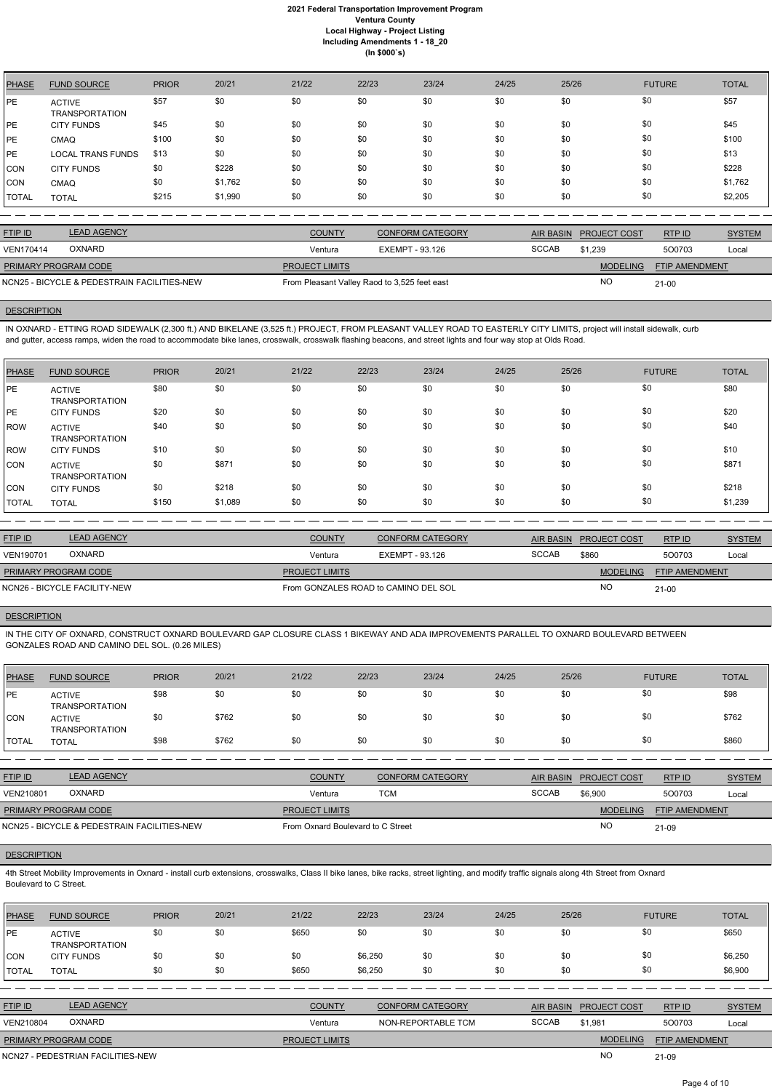| <b>PHASE</b> | <b>FUND SOURCE</b>                     | <b>PRIOR</b> | 20/21   | 21/22 | 22/23 | 23/24 | 24/25 | 25/26 | <b>FUTURE</b> | <b>TOTAL</b> |
|--------------|----------------------------------------|--------------|---------|-------|-------|-------|-------|-------|---------------|--------------|
| PE           | <b>ACTIVE</b><br><b>TRANSPORTATION</b> | \$57         | \$0     | \$0   | \$0   | \$0   | \$0   | \$0   | \$0           | \$57         |
| PE           | <b>CITY FUNDS</b>                      | \$45         | \$0     | \$0   | \$0   | \$0   | \$0   | \$0   | \$0           | \$45         |
| <b>PE</b>    | <b>CMAQ</b>                            | \$100        | \$0     | \$0   | \$0   | \$0   | \$0   | \$0   | \$0           | \$100        |
| <b>PE</b>    | <b>LOCAL TRANS FUNDS</b>               | \$13         | \$0     | \$0   | \$0   | \$0   | \$0   | \$0   | \$0           | \$13         |
| <b>CON</b>   | <b>CITY FUNDS</b>                      | \$0          | \$228   | \$0   | \$0   | \$0   | \$0   | \$0   | \$0           | \$228        |
| <b>CON</b>   | <b>CMAQ</b>                            | \$0          | \$1,762 | \$0   | \$0   | \$0   | \$0   | \$0   | \$0           | \$1,762      |
| TOTAL        | <b>TOTAL</b>                           | \$215        | \$1,990 | \$0   | \$0   | \$0   | \$0   | \$0   | \$0           | \$2,205      |

| <b>FTIP ID</b>       | <b>LEAD AGENCY</b>                          | <b>COUNTY</b>                                | <b>CONFORM CATEGORY</b> | AIR BASIN    | <b>PROJECT COST</b> | RTPID                 | <b>SYSTEM</b> |
|----------------------|---------------------------------------------|----------------------------------------------|-------------------------|--------------|---------------------|-----------------------|---------------|
| <b>VEN170414</b>     | <b>OXNARD</b>                               | Ventura                                      | EXEMPT - 93.126         | <b>SCCAB</b> | \$1.239             | 500703                | Local         |
| PRIMARY PROGRAM CODE |                                             | <b>PROJECT LIMITS</b>                        |                         |              | <b>MODELING</b>     | <b>FTIP AMENDMENT</b> |               |
|                      | NCN25 - BICYCLE & PEDESTRAIN FACILITIES-NEW | From Pleasant Valley Raod to 3,525 feet east |                         |              | NC                  | $21 - 00$             |               |

### **DESCRIPTION**

IN OXNARD - ETTING ROAD SIDEWALK (2,300 ft.) AND BIKELANE (3,525 ft.) PROJECT, FROM PLEASANT VALLEY ROAD TO EASTERLY CITY LIMITS, project will install sidewalk, curb and gutter, access ramps, widen the road to accommodate bike lanes, crosswalk, crosswalk flashing beacons, and street lights and four way stop at Olds Road.

| <b>PHASE</b> | <b>FUND SOURCE</b>                     | <b>PRIOR</b> | 20/21   | 21/22 | 22/23 | 23/24 | 24/25 | 25/26 | <b>FUTURE</b> | <b>TOTAL</b> |
|--------------|----------------------------------------|--------------|---------|-------|-------|-------|-------|-------|---------------|--------------|
| <b>IPE</b>   | <b>ACTIVE</b><br><b>TRANSPORTATION</b> | \$80         | \$0     | \$0   | \$0   | \$0   | \$0   | \$0   | \$0           | \$80         |
| <b>IPE</b>   | <b>CITY FUNDS</b>                      | \$20         | \$0     | \$0   | \$0   | \$0   | \$0   | \$0   | \$0           | \$20         |
| <b>ROW</b>   | <b>ACTIVE</b><br><b>TRANSPORTATION</b> | \$40         | \$0     | \$0   | \$0   | \$0   | \$0   | \$0   | \$0           | \$40         |
| <b>IROW</b>  | <b>CITY FUNDS</b>                      | \$10         | \$0     | \$0   | \$0   | \$0   | \$0   | \$0   | \$0           | \$10         |
| CON          | <b>ACTIVE</b><br><b>TRANSPORTATION</b> | \$0          | \$871   | \$0   | \$0   | \$0   | \$0   | \$0   | \$0           | \$871        |
| CON          | <b>CITY FUNDS</b>                      | \$0          | \$218   | \$0   | \$0   | \$0   | \$0   | \$0   | \$0           | \$218        |
| TOTAL        | <b>TOTAL</b>                           | \$150        | \$1,089 | \$0   | \$0   | \$0   | \$0   | \$0   | \$0           | \$1,239      |

4th Street Mobility Improvements in Oxnard - install curb extensions, crosswalks, Class II bike lanes, bike racks, street lighting, and modify traffic signals along 4th Street from Oxnard Boulevard to C Street.

| <b>FTIP ID</b>               | <b>LEAD AGENCY</b> | <b>COUNTY</b>                        | <b>CONFORM CATEGORY</b> | <b>AIR BASIN</b> | <b>PROJECT COST</b> | RTP ID                | <b>SYSTEM</b> |
|------------------------------|--------------------|--------------------------------------|-------------------------|------------------|---------------------|-----------------------|---------------|
| VEN190701                    | OXNARD             | Ventura                              | EXEMPT - 93.126         | <b>SCCAB</b>     | \$860               | 500703                | Local         |
| <b>PRIMARY PROGRAM CODE</b>  |                    | <b>PROJECT LIMITS</b>                |                         |                  | <b>MODELING</b>     | <b>FTIP AMENDMENT</b> |               |
| NCN26 - BICYCLE FACILITY-NEW |                    | From GONZALES ROAD to CAMINO DEL SOL |                         | <b>NO</b>        | $21 - 00$           |                       |               |

# **DESCRIPTION**

IN THE CITY OF OXNARD, CONSTRUCT OXNARD BOULEVARD GAP CLOSURE CLASS 1 BIKEWAY AND ADA IMPROVEMENTS PARALLEL TO OXNARD BOULEVARD BETWEEN GONZALES ROAD AND CAMINO DEL SOL. (0.26 MILES)

| <b>PHASE</b> | <b>FUND SOURCE</b>                     | <b>PRIOR</b> | 20/21 | 21/22 | 22/23 | 23/24 | 24/25 | 25/26 | <b>FUTURE</b> | <b>TOTAL</b> |
|--------------|----------------------------------------|--------------|-------|-------|-------|-------|-------|-------|---------------|--------------|
| <b>IPE</b>   | <b>ACTIVE</b><br><b>TRANSPORTATION</b> | \$98         | \$0   | \$0   | \$0   | \$0   | \$0   |       | \$0           | \$98         |
| CON          | <b>ACTIVE</b><br><b>TRANSPORTATION</b> | \$0          | \$762 | \$0   | \$0   | \$0   | \$0   |       | \$0           | \$762        |
| <b>TOTAL</b> | TOTAL                                  | \$98         | \$762 | \$0   | \$0   | \$0   | \$0   | \$0   | \$0           | \$860        |

| <b>FTIP ID</b>              | <b>LEAD AGENCY</b>                          | <b>COUNTY</b>                     | <b>CONFORM CATEGORY</b> |              | AIR BASIN PROJECT COST | RTP ID                | <b>SYSTEM</b> |
|-----------------------------|---------------------------------------------|-----------------------------------|-------------------------|--------------|------------------------|-----------------------|---------------|
| <b>VEN210801</b>            | <b>OXNARD</b>                               | Ventura                           | TCM                     | <b>SCCAB</b> | \$6.900                | 500703                | Local         |
| <b>PRIMARY PROGRAM CODE</b> |                                             | <b>PROJECT LIMITS</b>             |                         |              | <b>MODELING</b>        | <b>FTIP AMENDMENT</b> |               |
|                             | NCN25 - BICYCLE & PEDESTRAIN FACILITIES-NEW | From Oxnard Boulevard to C Street |                         |              | NO.                    | 21-09                 |               |

### **DESCRIPTION**

| <b>PHASE</b> | <b>FUND SOURCE</b>              | <b>PRIOR</b> | 20/21 | 21/22 | 22/23   | 23/24 | 24/25 | 25/26 | <b>FUTURE</b> | <b>TOTAL</b> |
|--------------|---------------------------------|--------------|-------|-------|---------|-------|-------|-------|---------------|--------------|
| PE           | <b>ACTIVE</b><br>TRANSPORTATION | \$0          | \$0   | \$650 | \$0     | \$0   | \$0   | \$0   |               | \$650        |
| <b>CON</b>   | <b>CITY FUNDS</b>               | \$0          | \$0   | \$0   | \$6,250 | \$0   | \$0   | \$0   | \$0           | \$6,250      |
| <b>TOTAL</b> | TOTAL                           | \$0          | \$0   | \$650 | \$6,250 | \$0   | \$0   | \$0   | \$0           | \$6,900      |

| <b>FTIP ID</b>              | <b>LEAD AGENCY</b>                | <b>COUNTY</b>         | <b>CONFORM CATEGORY</b> |              | AIR BASIN PROJECT COST | RTPID                 | <b>SYSTEM</b> |
|-----------------------------|-----------------------------------|-----------------------|-------------------------|--------------|------------------------|-----------------------|---------------|
| VEN210804                   | <b>OXNARD</b>                     | Ventura               | NON-REPORTABLE TCM      | <b>SCCAB</b> | \$1,981                | 500703                | Local         |
| <b>PRIMARY PROGRAM CODE</b> |                                   | <b>PROJECT LIMITS</b> |                         |              | <b>MODELING</b>        | <b>FTIP AMENDMENT</b> |               |
|                             | NCN27 - PEDESTRIAN FACILITIES-NEW |                       |                         |              | <b>NO</b>              | $21-09$               |               |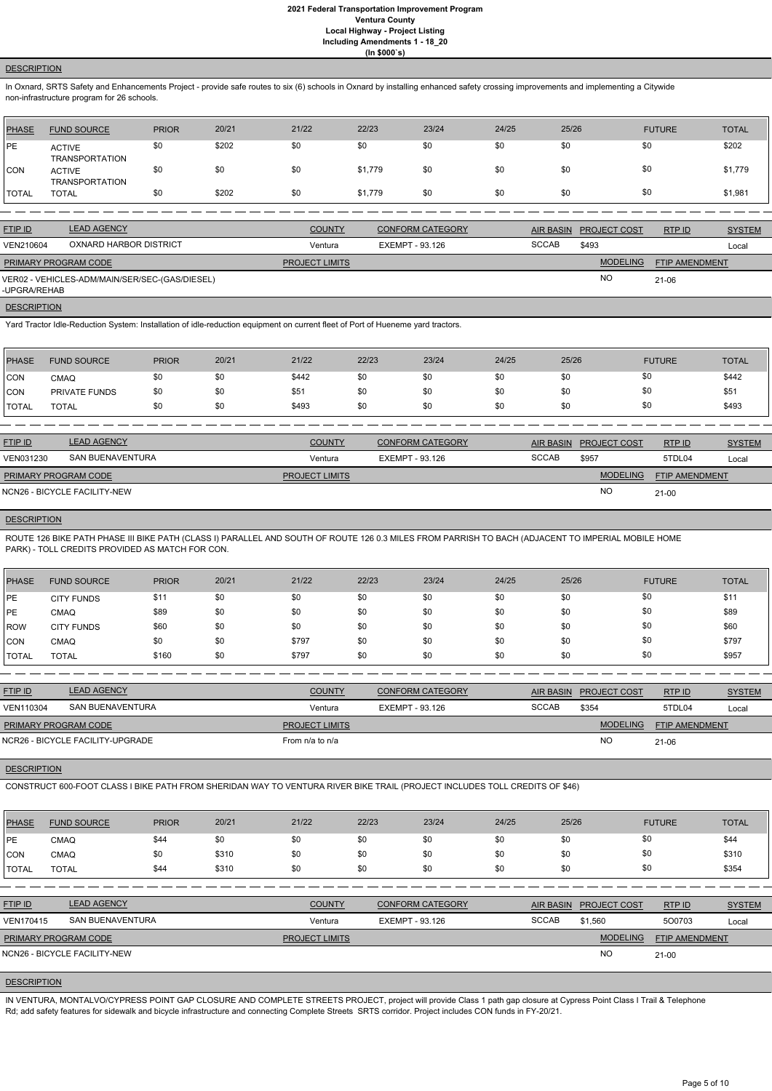### **DESCRIPTION**

In Oxnard, SRTS Safety and Enhancements Project - provide safe routes to six (6) schools in Oxnard by installing enhanced safety crossing improvements and implementing a Citywide non-infrastructure program for 26 schools.

| <b>PHASE</b> | <b>FUND SOURCE</b>                     | <b>PRIOR</b> | 20/21 | 21/22 | 22/23   | 23/24 | 24/25 | 25/26 | <b>FUTURE</b> | <b>TOTAL</b> |
|--------------|----------------------------------------|--------------|-------|-------|---------|-------|-------|-------|---------------|--------------|
| PE           | <b>ACTIVE</b><br><b>TRANSPORTATION</b> | \$0          | \$202 | \$0   | \$0     | \$0   | \$0   | \$0   | \$0           | \$202        |
| <b>CON</b>   | <b>ACTIVE</b><br><b>TRANSPORTATION</b> | \$0          | \$0   | \$0   | \$1,779 | \$0   | \$0   | \$0   | \$0           | \$1,779      |
| <b>TOTAL</b> | <b>TOTAL</b>                           | \$0          | \$202 | \$0   | \$1,779 | \$0   | \$0   | \$0   | \$0           | \$1,981      |

| <b>FTIP ID</b>              | <b>LEAD AGENCY</b>                             | <b>COUNTY</b>         | <b>CONFORM CATEGORY</b> |              | AIR BASIN PROJECT COST | RTPID                 | <b>SYSTEM</b> |
|-----------------------------|------------------------------------------------|-----------------------|-------------------------|--------------|------------------------|-----------------------|---------------|
| VEN210604                   | OXNARD HARBOR DISTRICT                         | Ventura               | EXEMPT - 93.126         | <b>SCCAB</b> | \$493                  |                       | Local         |
| <b>PRIMARY PROGRAM CODE</b> |                                                | <b>PROJECT LIMITS</b> |                         |              | <b>MODELING</b>        | <b>FTIP AMENDMENT</b> |               |
| -UPGRA/REHAB                | VER02 - VEHICLES-ADM/MAIN/SER/SEC-(GAS/DIESEL) |                       |                         |              | <b>NO</b>              | $21-06$               |               |

#### **DESCRIPTION**

Yard Tractor Idle-Reduction System: Installation of idle-reduction equipment on current fleet of Port of Hueneme yard tractors.

| <b>PHASE</b>  | <b>FUND SOURCE</b> | <b>PRIOR</b> | 20/21 | 21/22 | 22/23 | 23/24 | 24/25 | 25/26 | <b>FUTURE</b> | <b>TOTAL</b> |
|---------------|--------------------|--------------|-------|-------|-------|-------|-------|-------|---------------|--------------|
| CON           | <b>CMAQ</b>        | \$0          | \$0   | \$442 | \$0   | \$0   | \$0   |       | \$0           | \$442        |
| <b>CON</b>    | PRIVATE FUNDS      | \$0          | \$0   | \$51  | \$0   | \$0   | \$0   |       | \$0           | \$51         |
| <b>ITOTAL</b> | <b>TOTAL</b>       | \$0          | \$0   | \$493 | \$0   | \$0   | \$0   |       | \$0           | \$493        |

| <b>FTIP ID</b>              | <b>LEAD AGENCY</b>           | <b>COUNTY</b>         | <b>CONFORM CATEGORY</b> | <b>AIR BASIN</b> | <b>PROJECT COST</b> | RTP ID                | <b>SYSTEM</b> |
|-----------------------------|------------------------------|-----------------------|-------------------------|------------------|---------------------|-----------------------|---------------|
| VEN031230                   | SAN BUENAVENTURA             | Ventura               | EXEMPT - 93.126         | <b>SCCAB</b>     | \$957               | 5TDL04                | Local         |
| <b>PRIMARY PROGRAM CODE</b> |                              | <b>PROJECT LIMITS</b> |                         |                  | <b>MODELING</b>     | <b>FTIP AMENDMENT</b> |               |
|                             | NCN26 - BICYCLE FACILITY-NEW |                       |                         |                  | NO                  | 21-00                 |               |

# **DESCRIPTION**

ROUTE 126 BIKE PATH PHASE III BIKE PATH (CLASS I) PARALLEL AND SOUTH OF ROUTE 126 0.3 MILES FROM PARRISH TO BACH (ADJACENT TO IMPERIAL MOBILE HOME PARK) - TOLL CREDITS PROVIDED AS MATCH FOR CON.

| PHASE         | <b>FUND SOURCE</b> | <b>PRIOR</b> | 20/21 | 21/22 | 22/23 | 23/24 | 24/25 | 25/26 | <b>FUTURE</b> | <b>TOTAL</b> |
|---------------|--------------------|--------------|-------|-------|-------|-------|-------|-------|---------------|--------------|
| <b>IPE</b>    | <b>CITY FUNDS</b>  | \$11         | \$0   | \$0   | \$0   | \$0   | \$0   | \$0   | \$0           | \$11         |
| <b>IPE</b>    | CMAQ               | \$89         | \$0   | \$0   | \$0   | \$0   | \$0   | \$0   | \$0           | \$89         |
| <b>IROW</b>   | <b>CITY FUNDS</b>  | \$60         | \$0   | \$0   | \$0   | \$0   | \$0   | \$0   | \$0           | \$60         |
| ICON          | CMAQ               | \$0          | \$0   | \$797 | \$0   | \$0   | \$0   | \$0   | \$0           | \$797        |
| <b>ITOTAL</b> | <b>TOTAL</b>       | \$160        | \$0   | \$797 | \$0   | \$0   | \$0   | \$0   | \$0           | \$957        |

| <b>LEAD AGENCY</b>          | <b>COUNTY</b>                    | <b>CONFORM CATEGORY</b> | <b>AIR BASIN</b> |                 | RTP ID                | <b>SYSTEM</b> |
|-----------------------------|----------------------------------|-------------------------|------------------|-----------------|-----------------------|---------------|
| SAN BUENAVENTURA            | Ventura                          | EXEMPT - 93.126         | <b>SCCAB</b>     | \$354           | 5TDL04                | Local         |
| <b>PRIMARY PROGRAM CODE</b> |                                  |                         |                  | <b>MODELING</b> | <b>FTIP AMENDMENT</b> |               |
|                             | From $n/a$ to $n/a$              |                         |                  | <b>NO</b>       | 21-06                 |               |
|                             | NCR26 - BICYCLE FACILITY-UPGRADE | <b>PROJECT LIMITS</b>   |                  |                 | <b>PROJECT COST</b>   |               |

#### **DESCRIPTION**

CONSTRUCT 600-FOOT CLASS I BIKE PATH FROM SHERIDAN WAY TO VENTURA RIVER BIKE TRAIL (PROJECT INCLUDES TOLL CREDITS OF \$46)

| <b>PHASE</b>   | <b>FUND SOURCE</b>           | <b>PRIOR</b> | 20/21 | 21/22                 | 22/23           | 23/24                   | 24/25 | 25/26            |                     | <b>FUTURE</b>         | <b>TOTAL</b>  |
|----------------|------------------------------|--------------|-------|-----------------------|-----------------|-------------------------|-------|------------------|---------------------|-----------------------|---------------|
| <b>PE</b>      | <b>CMAQ</b>                  | \$44         | \$0   | \$0                   | \$0             | \$0                     | \$0   | \$0              | \$0                 |                       | \$44          |
| CON            | CMAQ                         | \$0          | \$310 | \$0                   | \$0             | \$0                     | \$0   | \$0              | \$0                 |                       | \$310         |
| <b>TOTAL</b>   | <b>TOTAL</b>                 | \$44         | \$310 | \$0                   | \$0             | \$0                     | \$0   | \$0              | \$0                 |                       | \$354         |
|                |                              |              |       |                       |                 |                         |       |                  |                     |                       |               |
| <b>FTIP ID</b> | <b>LEAD AGENCY</b>           |              |       | <b>COUNTY</b>         |                 | <b>CONFORM CATEGORY</b> |       | <b>AIR BASIN</b> | <b>PROJECT COST</b> | RTP ID                | <b>SYSTEM</b> |
| VEN170415      | <b>SAN BUENAVENTURA</b>      |              |       | Ventura               | EXEMPT - 93.126 |                         |       | <b>SCCAB</b>     | \$1,560             | 500703                | Local         |
|                | PRIMARY PROGRAM CODE         |              |       | <b>PROJECT LIMITS</b> |                 |                         |       |                  | <b>MODELING</b>     | <b>FTIP AMENDMENT</b> |               |
|                | NCN26 - BICYCLE FACILITY-NEW |              |       |                       |                 |                         |       |                  | <b>NO</b>           | $21 - 00$             |               |
|                |                              |              |       |                       |                 |                         |       |                  |                     |                       |               |

# **DESCRIPTION**

IN VENTURA, MONTALVO/CYPRESS POINT GAP CLOSURE AND COMPLETE STREETS PROJECT, project will provide Class 1 path gap closure at Cypress Point Class I Trail & Telephone Rd; add safety features for sidewalk and bicycle infrastructure and connecting Complete Streets SRTS corridor. Project includes CON funds in FY-20/21.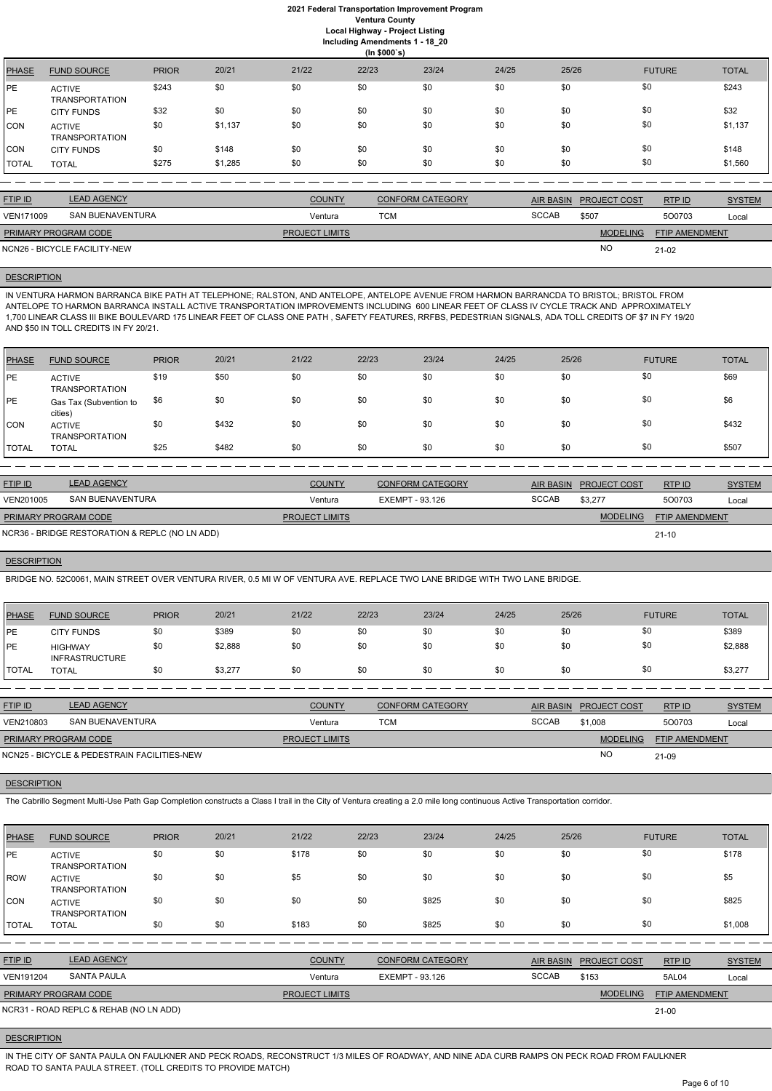# **2021 Federal Transportation Improvement Program Ventura County Local Highway - Project Listing**

**(In \$000`s)** PHASE FUND SOURCE PRIOR 20/21 21/22 22/23 23/24 24/25 25/26 FUTURE TOTAL PE ACTIVE TRANSPORTATION \$243 \$0 \$0 \$0 \$0 \$0 \$0 \$0 \$243 PE CITY FUNDS \$32 \$0 \$0 \$0 \$0 \$0 \$0 \$0 \$0 \$0 \$0 \$132 CON ACTIVE TRANSPORTATION \$0 \$1,137 \$0 \$0 \$0 \$0 \$0 \$0 \$1,137 CON CITY FUNDS \$0 \$148 \$0 \$0 \$0 \$0 \$0 \$0 \$0 \$0 \$0 \$148 TOTAL TOTAL \$275 \$1,285 \$0 \$0 \$0 \$0 \$0 \$0 \$0 \$1,560

**Including Amendments 1 - 18\_20**

| <b>FTIP ID</b>              | <b>LEAD AGENCY</b>           | <b>COUNTY</b>         | <b>CONFORM CATEGORY</b> | <b>AIR BASIN</b> | <b>PROJECT COST</b> | RTP ID                | <b>SYSTEM</b> |
|-----------------------------|------------------------------|-----------------------|-------------------------|------------------|---------------------|-----------------------|---------------|
| VEN171009                   | SAN BUENAVENTURA             | Ventura               | тсм                     | <b>SCCAB</b>     | \$507               | 500703                | Local         |
| <b>PRIMARY PROGRAM CODE</b> |                              | <b>PROJECT LIMITS</b> |                         |                  | <b>MODELING</b>     | <b>FTIP AMENDMENT</b> |               |
|                             | NCN26 - BICYCLE FACILITY-NEW |                       |                         |                  | NO                  | $21-02$               |               |

# **DESCRIPTION**

IN VENTURA HARMON BARRANCA BIKE PATH AT TELEPHONE; RALSTON, AND ANTELOPE, ANTELOPE AVENUE FROM HARMON BARRANCDA TO BRISTOL; BRISTOL FROM ANTELOPE TO HARMON BARRANCA INSTALL ACTIVE TRANSPORTATION IMPROVEMENTS INCLUDING 600 LINEAR FEET OF CLASS IV CYCLE TRACK AND APPROXIMATELY 1,700 LINEAR CLASS III BIKE BOULEVARD 175 LINEAR FEET OF CLASS ONE PATH , SAFETY FEATURES, RRFBS, PEDESTRIAN SIGNALS, ADA TOLL CREDITS OF \$7 IN FY 19/20 AND \$50 IN TOLL CREDITS IN FY 20/21.

| PHASE        | <b>FUND SOURCE</b>                     | <b>PRIOR</b> | 20/21 | 21/22 | 22/23 | 23/24 | 24/25 | 25/26 | <b>FUTURE</b> | <b>TOTAL</b> |
|--------------|----------------------------------------|--------------|-------|-------|-------|-------|-------|-------|---------------|--------------|
| PE           | <b>ACTIVE</b><br><b>TRANSPORTATION</b> | \$19         | \$50  | \$0   | \$0   | \$0   | \$0   | \$0   | \$0           | \$69         |
| <b>IPE</b>   | Gas Tax (Subvention to<br>cities)      | \$6          | \$0   | \$0   | \$0   | \$0   | \$0   | \$0   | \$0           | \$6          |
| <b>CON</b>   | <b>ACTIVE</b><br><b>TRANSPORTATION</b> | \$0          | \$432 | \$0   | \$0   | \$0   | \$0   | \$0   | \$0           | \$432        |
| <b>TOTAL</b> | <b>TOTAL</b>                           | \$25         | \$482 | \$0   | \$0   | \$0   | \$0   | \$0   | \$0           | \$507        |

| <b>FTIP ID</b> | <b>LEAD AGENCY</b> | <b>COUNTY</b> | <b>CONFORM CATEGORY</b> | <b>AIR BASIN</b> | <b>PROJECT COST</b> | RTP ID | <b>TYSTEM</b> |
|----------------|--------------------|---------------|-------------------------|------------------|---------------------|--------|---------------|
| VEN201005      | SAN BUENAVENTURA   | Ventura       | EXEMPT - 93.126         | <b>SCCAB</b>     | \$3,277             | 500703 | Local         |

| <b>PRIMARY PROGRAM CODE</b>                    | <b>PROJECT LIMITS</b> | ELING | <b>FTIP AMENDMENT</b> |
|------------------------------------------------|-----------------------|-------|-----------------------|
| NCR36 - BRIDGE RESTORATION & REPLC (NO LN ADD) |                       |       | $21 - 10$             |

### **DESCRIPTION**

BRIDGE NO. 52C0061, MAIN STREET OVER VENTURA RIVER, 0.5 MI W OF VENTURA AVE. REPLACE TWO LANE BRIDGE WITH TWO LANE BRIDGE.

| PHASE          | <b>FUND SOURCE</b>                      | <b>PRIOR</b> | 20/21   | 21/22 | 22/23 | 23/24 | 24/25 | 25/26 | <b>FUTURE</b> | <b>TOTAL</b> |
|----------------|-----------------------------------------|--------------|---------|-------|-------|-------|-------|-------|---------------|--------------|
| PE             | <b>CITY FUNDS</b>                       | \$0          | \$389   | \$0   | \$0   | \$0   | \$0   | \$0   | \$0           | \$389        |
| PE             | <b>HIGHWAY</b><br><b>INFRASTRUCTURE</b> | \$0          | \$2,888 | \$0   | \$0   | \$0   | \$0   | \$0   | \$0           | \$2,888      |
| <b>I</b> TOTAL | <b>TOTAL</b>                            | \$0          | \$3,277 | \$0   | \$0   | \$0   | \$0   | \$0   | \$0           | \$3,277      |
|                |                                         |              |         |       |       |       |       |       |               |              |

| <b>FTIP ID</b>              | <b>LEAD AGENCY</b>                          | <b>COUNTY</b>         | CONFORM CATEGORY |              | AIR BASIN PROJECT COST | RTPID                 | <b>SYSTEM</b> |
|-----------------------------|---------------------------------------------|-----------------------|------------------|--------------|------------------------|-----------------------|---------------|
| VEN210803                   | SAN BUENAVENTURA                            | Ventura               | TCM              | <b>SCCAB</b> | \$1,008                | 500703                | Local         |
| <b>PRIMARY PROGRAM CODE</b> |                                             | <b>PROJECT LIMITS</b> |                  |              | <b>MODELING</b>        | <b>FTIP AMENDMENT</b> |               |
|                             | NCN25 - BICYCLE & PEDESTRAIN FACILITIES-NEW |                       |                  |              | <b>NC</b>              | 21-09                 |               |

**DESCRIPTION** 

The Cabrillo Segment Multi-Use Path Gap Completion constructs a Class I trail in the City of Ventura creating a 2.0 mile long continuous Active Transportation corridor.

| <b>PHASE</b> | <b>FUND SOURCE</b>                     | <b>PRIOR</b> | 20/21 | 21/22 | 22/23 | 23/24 | 24/25 | 25/26 | <b>FUTURE</b> | <b>TOTAL</b> |
|--------------|----------------------------------------|--------------|-------|-------|-------|-------|-------|-------|---------------|--------------|
| <b>IPE</b>   | <b>ACTIVE</b><br><b>TRANSPORTATION</b> | \$0          | \$0   | \$178 | \$0   | \$0   | \$0   | \$0   | \$0           | \$178        |
| ROW          | <b>ACTIVE</b><br><b>TRANSPORTATION</b> | \$0          | \$0   | \$5   | \$0   | \$0   | \$0   | \$0   | \$0           | \$5          |
| ICON         | <b>ACTIVE</b><br><b>TRANSPORTATION</b> | \$0          | \$0   | \$0   | \$0   | \$825 | \$0   | \$0   | \$0           | \$825        |
| ITOTAL       | <b>TOTAL</b>                           | \$0          | \$0   | \$183 | \$0   | \$825 | \$0   | \$0   | \$0           | \$1,008      |

| <b>FTIP ID</b>              | <b>LEAD AGENCY</b>                     | <b>COUNTY</b>         | CONFORM CATEGORY |              | AIR BASIN PROJECT COST | RTP ID                | <b>SYSTEM</b> |
|-----------------------------|----------------------------------------|-----------------------|------------------|--------------|------------------------|-----------------------|---------------|
| <b>VEN191204</b>            | SANTA PAULA                            | Ventura               | EXEMPT - 93.126  | <b>SCCAB</b> | \$153                  | 5AL04                 | Local         |
| <b>PRIMARY PROGRAM CODE</b> |                                        | <b>PROJECT LIMITS</b> |                  |              | <b>MODELING</b>        | <b>FTIP AMENDMENT</b> |               |
|                             | NCR31 - ROAD REPLC & REHAB (NO LN ADD) |                       |                  |              |                        | $21 - 00$             |               |

#### **DESCRIPTION**

IN THE CITY OF SANTA PAULA ON FAULKNER AND PECK ROADS, RECONSTRUCT 1/3 MILES OF ROADWAY, AND NINE ADA CURB RAMPS ON PECK ROAD FROM FAULKNER ROAD TO SANTA PAULA STREET. (TOLL CREDITS TO PROVIDE MATCH)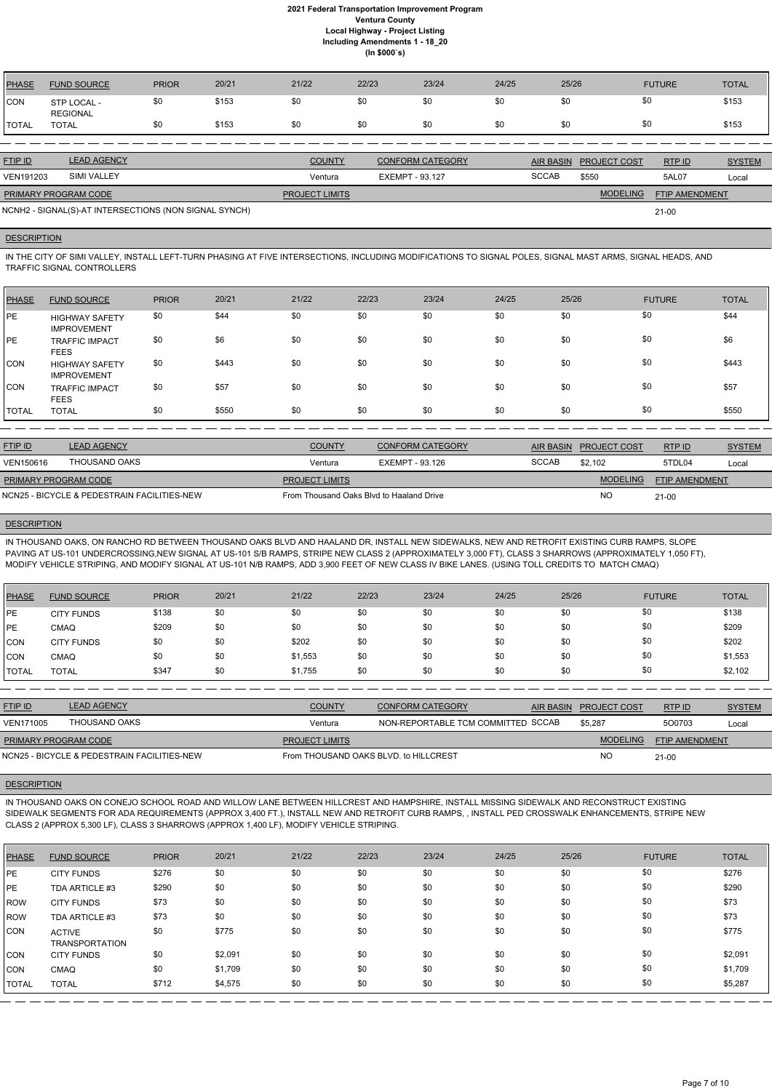| <b>PHASE</b> | <b>FUND SOURCE</b>      | <b>PRIOR</b> | 20/21 | 21/22 | 22/23 | 23/24 | 24/25 | 25/26 | <b>FUTURE</b> | <b>TOTAL</b> |
|--------------|-------------------------|--------------|-------|-------|-------|-------|-------|-------|---------------|--------------|
| CON          | STP LOCAL -<br>REGIONAL | \$0          | \$153 | \$0   | \$0   | \$0   | \$0   | \$0   | \$0           | \$153        |
| TOTAL        | TOTAL                   | \$0          | \$153 | \$0   | \$0   | \$0   | \$0   | \$0   | \$0           | \$153        |

IN THE CITY OF SIMI VALLEY, INSTALL LEFT-TURN PHASING AT FIVE INTERSECTIONS, INCLUDING MODIFICATIONS TO SIGNAL POLES, SIGNAL MAST ARMS, SIGNAL HEADS, AND TRAFFIC SIGNAL CONTROLLERS

| <b>FTIP ID</b>              | <b>LEAD AGENCY</b>                                    | <b>COUNTY</b>         | <b>CONFORM CATEGORY</b> |              | AIR BASIN PROJECT COST | RTPID                 | <b>SYSTEM</b> |
|-----------------------------|-------------------------------------------------------|-----------------------|-------------------------|--------------|------------------------|-----------------------|---------------|
| <b>VEN191203</b>            | <b>SIMI VALLEY</b>                                    | Ventura               | EXEMPT - 93.127         | <b>SCCAB</b> | \$550                  | 5AL07                 | Local         |
| <b>PRIMARY PROGRAM CODE</b> |                                                       | <b>PROJECT LIMITS</b> |                         |              | <b>MODELING</b>        | <b>FTIP AMENDMENT</b> |               |
|                             | NCNH2 - SIGNAL(S)-AT INTERSECTIONS (NON SIGNAL SYNCH) |                       |                         |              |                        | $21 - 00$             |               |

#### **DESCRIPTION**

| <b>PHASE</b> | <b>FUND SOURCE</b>                          | <b>PRIOR</b> | 20/21 | 21/22 | 22/23 | 23/24 | 24/25 | 25/26 | <b>FUTURE</b> | <b>TOTAL</b> |
|--------------|---------------------------------------------|--------------|-------|-------|-------|-------|-------|-------|---------------|--------------|
| <b>PE</b>    | <b>HIGHWAY SAFETY</b><br><b>IMPROVEMENT</b> | \$0          | \$44  | \$0   | \$0   | \$0   | \$0   | \$0   | \$0           | \$44         |
| <b>IPE</b>   | <b>TRAFFIC IMPACT</b><br><b>FEES</b>        | \$0          | \$6   | \$0   | \$0   | \$0   | \$0   | \$0   | \$0           | \$6          |
| <b>CON</b>   | <b>HIGHWAY SAFETY</b><br><b>IMPROVEMENT</b> | \$0          | \$443 | \$0   | \$0   | \$0   | \$0   | \$0   | \$0           | \$443        |
| CON          | <b>TRAFFIC IMPACT</b><br><b>FEES</b>        | \$0          | \$57  | \$0   | \$0   | \$0   | \$0   | \$0   | \$0           | \$57         |
| <b>TOTAL</b> | <b>TOTAL</b>                                | \$0          | \$550 | \$0   | \$0   | \$0   | \$0   | \$0   | \$0           | \$550        |

| <b>FTIP ID</b>              | <b>LEAD AGENCY</b>                          | <b>COUNTY</b>                            | <b>CONFORM CATEGORY</b> |              | AIR BASIN PROJECT COST | RTPID                 | <b>SYSTEM</b> |
|-----------------------------|---------------------------------------------|------------------------------------------|-------------------------|--------------|------------------------|-----------------------|---------------|
| VEN150616                   | THOUSAND OAKS                               | Ventura                                  | EXEMPT - 93.126         | <b>SCCAB</b> | \$2.102                | 5TDL04                | Local         |
| <b>PRIMARY PROGRAM CODE</b> |                                             | <b>PROJECT LIMITS</b>                    |                         |              | <b>MODELING</b>        | <b>FTIP AMENDMENT</b> |               |
|                             | NCN25 - BICYCLE & PEDESTRAIN FACILITIES-NEW | From Thousand Oaks Blvd to Haaland Drive |                         |              | <b>NC</b>              | $21 - 00$             |               |

### **DESCRIPTION**

IN THOUSAND OAKS, ON RANCHO RD BETWEEN THOUSAND OAKS BLVD AND HAALAND DR, INSTALL NEW SIDEWALKS, NEW AND RETROFIT EXISTING CURB RAMPS, SLOPE PAVING AT US-101 UNDERCROSSING,NEW SIGNAL AT US-101 S/B RAMPS, STRIPE NEW CLASS 2 (APPROXIMATELY 3,000 FT), CLASS 3 SHARROWS (APPROXIMATELY 1,050 FT), MODIFY VEHICLE STRIPING, AND MODIFY SIGNAL AT US-101 N/B RAMPS, ADD 3,900 FEET OF NEW CLASS IV BIKE LANES. (USING TOLL CREDITS TO MATCH CMAQ)

| PHASE        | <b>FUND SOURCE</b> | <b>PRIOR</b> | 20/21 | 21/22   | 22/23 | 23/24 | 24/25 | 25/26 | <b>FUTURE</b> | <b>TOTAL</b> |
|--------------|--------------------|--------------|-------|---------|-------|-------|-------|-------|---------------|--------------|
| IPE.         | <b>CITY FUNDS</b>  | \$138        | \$0   | \$0     | \$0   | \$0   | \$0   | \$0   | \$0           | \$138        |
| PE           | <b>CMAQ</b>        | \$209        | \$0   | \$0     | \$0   | \$0   | \$0   | \$0   | \$0           | \$209        |
| CON          | <b>CITY FUNDS</b>  | \$0          | \$0   | \$202   | \$0   | \$0   | \$0   | \$0   | \$0           | \$202        |
| CON          | <b>CMAQ</b>        | \$0          | \$0   | \$1,553 | \$0   | \$0   | \$0   | \$0   | \$0           | \$1,553      |
| <b>TOTAL</b> | TOTAL              | \$347        | \$0   | \$1,755 | \$0   | \$0   | \$0   | \$0   | \$0           | \$2,102      |

| <b>FTIP ID</b>              | <b>LEAD AGENCY</b>                          | <b>COUNTY</b>                         | <b>CONFORM CATEGORY</b>            | AIR BASIN | <b>PROJECT COST</b> | RTPID                 | <b>SYSTEM</b> |
|-----------------------------|---------------------------------------------|---------------------------------------|------------------------------------|-----------|---------------------|-----------------------|---------------|
| <b>VEN171005</b>            | THOUSAND OAKS                               | Ventura                               | NON-REPORTABLE TCM COMMITTED SCCAB |           | \$5,287             | 500703                | Local         |
| <b>PRIMARY PROGRAM CODE</b> |                                             | <b>PROJECT LIMITS</b>                 |                                    |           | <b>MODELING</b>     | <b>FTIP AMENDMENT</b> |               |
|                             | NCN25 - BICYCLE & PEDESTRAIN FACILITIES-NEW | From THOUSAND OAKS BLVD, to HILLCREST |                                    |           | <b>NO</b>           | $21 - 00$             |               |

# **DESCRIPTION**

IN THOUSAND OAKS ON CONEJO SCHOOL ROAD AND WILLOW LANE BETWEEN HILLCREST AND HAMPSHIRE, INSTALL MISSING SIDEWALK AND RECONSTRUCT EXISTING SIDEWALK SEGMENTS FOR ADA REQUIREMENTS (APPROX 3,400 FT.), INSTALL NEW AND RETROFIT CURB RAMPS, , INSTALL PED CROSSWALK ENHANCEMENTS, STRIPE NEW

CLASS 2 (APPROX 5,300 LF), CLASS 3 SHARROWS (APPROX 1,400 LF), MODIFY VEHICLE STRIPING.

| <b>PHASE</b> | <b>FUND SOURCE</b>                     | <b>PRIOR</b> | 20/21   | 21/22 | 22/23 | 23/24 | 24/25 | 25/26 | <b>FUTURE</b> | <b>TOTAL</b> |
|--------------|----------------------------------------|--------------|---------|-------|-------|-------|-------|-------|---------------|--------------|
| <b>IPE</b>   | <b>CITY FUNDS</b>                      | \$276        | \$0     | \$0   | \$0   | \$0   | \$0   | \$0   | \$0           | \$276        |
| <b>IPE</b>   | TDA ARTICLE #3                         | \$290        | \$0     | \$0   | \$0   | \$0   | \$0   | \$0   | \$0           | \$290        |
| l ROW        | <b>CITY FUNDS</b>                      | \$73         | \$0     | \$0   | \$0   | \$0   | \$0   | \$0   | \$0           | \$73         |
| l ROW        | TDA ARTICLE #3                         | \$73         | \$0     | \$0   | \$0   | \$0   | \$0   | \$0   | \$0           | \$73         |
| <b>CON</b>   | <b>ACTIVE</b><br><b>TRANSPORTATION</b> | \$0          | \$775   | \$0   | \$0   | \$0   | \$0   | \$0   | \$0           | \$775        |
| ICON.        | <b>CITY FUNDS</b>                      | \$0          | \$2,091 | \$0   | \$0   | \$0   | \$0   | \$0   | \$0           | \$2,091      |
| CON          | CMAQ                                   | \$0          | \$1,709 | \$0   | \$0   | \$0   | \$0   | \$0   | \$0           | \$1,709      |
| <b>TOTAL</b> | <b>TOTAL</b>                           | \$712        | \$4,575 | \$0   | \$0   | \$0   | \$0   | \$0   | \$0           | \$5,287      |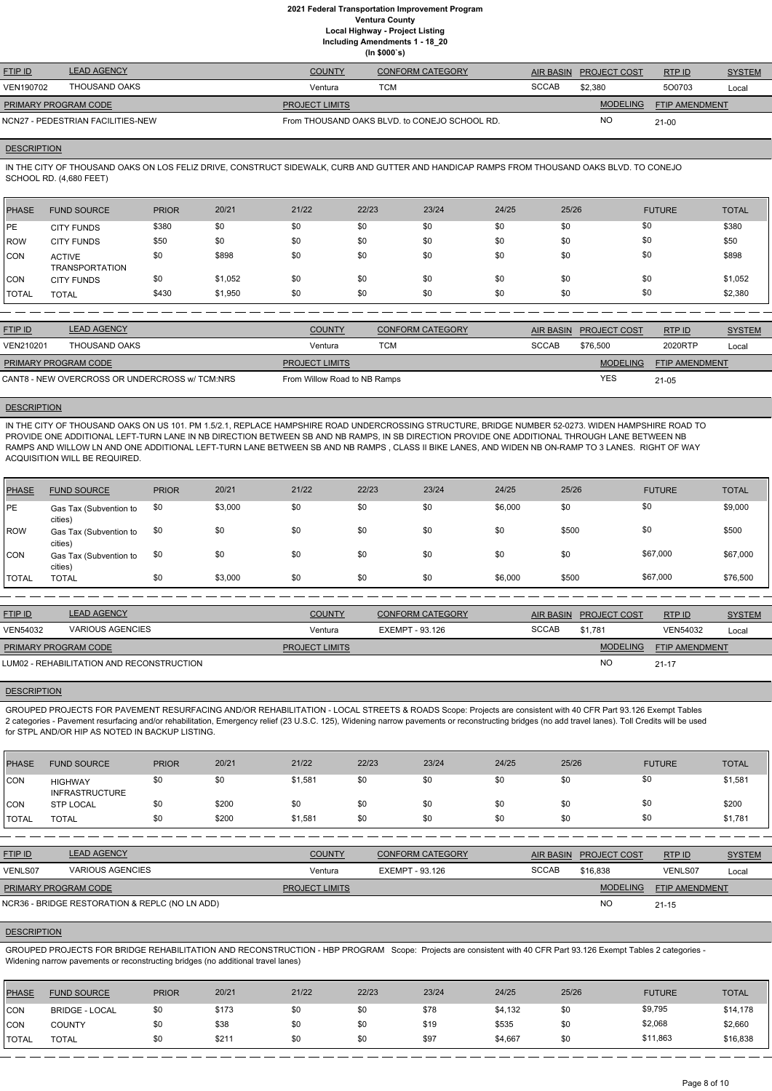| <b>FTIP ID</b>              | <b>LEAD AGENCY</b>                | <b>COUNTY</b>         | CONFORM CATEGORY                              | AIR BASIN    | <b>PROJECT COST</b> | RTPID                 | <b>SYSTEM</b> |
|-----------------------------|-----------------------------------|-----------------------|-----------------------------------------------|--------------|---------------------|-----------------------|---------------|
| VEN190702                   | THOUSAND OAKS                     | Ventura               | тсм                                           | <b>SCCAB</b> | \$2,380             | 500703                | Local         |
| <b>PRIMARY PROGRAM CODE</b> |                                   | <b>PROJECT LIMITS</b> |                                               |              | <b>MODELING</b>     | <b>FTIP AMENDMENT</b> |               |
|                             | NCN27 - PEDESTRIAN FACILITIES-NEW |                       | From THOUSAND OAKS BLVD, to CONEJO SCHOOL RD. |              | <b>NO</b>           | $21-00$               |               |

### **DESCRIPTION**

IN THE CITY OF THOUSAND OAKS ON LOS FELIZ DRIVE, CONSTRUCT SIDEWALK, CURB AND GUTTER AND HANDICAP RAMPS FROM THOUSAND OAKS BLVD. TO CONEJO SCHOOL RD. (4,680 FEET)

| <b>PHASE</b> | <b>FUND SOURCE</b>                     | <b>PRIOR</b> | 20/21   | 21/22 | 22/23 | 23/24 | 24/25 | 25/26 | <b>FUTURE</b> | <b>TOTAL</b> |
|--------------|----------------------------------------|--------------|---------|-------|-------|-------|-------|-------|---------------|--------------|
| <b>IPE</b>   | <b>CITY FUNDS</b>                      | \$380        | \$0     | \$0   | \$0   | \$0   | \$0   | \$0   | \$0           | \$380        |
| ROW          | <b>CITY FUNDS</b>                      | \$50         | \$0     | \$0   | \$0   | \$0   | \$0   | \$0   | \$0           | \$50         |
| <b>CON</b>   | <b>ACTIVE</b><br><b>TRANSPORTATION</b> | \$0          | \$898   | \$0   | \$0   | \$0   | \$0   | \$0   | \$0           | \$898        |
| CON          | <b>CITY FUNDS</b>                      | \$0          | \$1,052 | \$0   | \$0   | \$0   | \$0   | \$0   | \$0           | \$1,052      |
| <b>TOTAL</b> | <b>TOTAL</b>                           | \$430        | \$1,950 | \$0   | \$0   | \$0   | \$0   | \$0   | \$0           | \$2,380      |

| <b>FTIP ID</b>       | <b>LEAD AGENCY</b>                             | <b>COUNTY</b>                | <b>CONFORM CATEGORY</b> |              | AIR BASIN PROJECT COST | RTP ID                | <b>SYSTEM</b> |
|----------------------|------------------------------------------------|------------------------------|-------------------------|--------------|------------------------|-----------------------|---------------|
| VEN210201            | THOUSAND OAKS                                  | Ventura                      | <b>TCM</b>              | <b>SCCAB</b> | \$76,500               | 2020RTP               | Local         |
| PRIMARY PROGRAM CODE |                                                | <b>PROJECT LIMITS</b>        |                         |              | <b>MODELING</b>        | <b>FTIP AMENDMENT</b> |               |
|                      | CANT8 - NEW OVERCROSS OR UNDERCROSS w/ TCM:NRS | From Willow Road to NB Ramps |                         |              | YES                    | 21-05                 |               |

### **DESCRIPTION**

IN THE CITY OF THOUSAND OAKS ON US 101. PM 1.5/2.1, REPLACE HAMPSHIRE ROAD UNDERCROSSING STRUCTURE, BRIDGE NUMBER 52-0273. WIDEN HAMPSHIRE ROAD TO PROVIDE ONE ADDITIONAL LEFT-TURN LANE IN NB DIRECTION BETWEEN SB AND NB RAMPS, IN SB DIRECTION PROVIDE ONE ADDITIONAL THROUGH LANE BETWEEN NB RAMPS AND WILLOW LN AND ONE ADDITIONAL LEFT-TURN LANE BETWEEN SB AND NB RAMPS , CLASS II BIKE LANES, AND WIDEN NB ON-RAMP TO 3 LANES. RIGHT OF WAY ACQUISITION WILL BE REQUIRED.

| PHASE        | <b>FUND SOURCE</b>                | <b>PRIOR</b> | 20/21   | 21/22 | 22/23 | 23/24 | 24/25   | 25/26 | <b>FUTURE</b> | <b>TOTAL</b> |
|--------------|-----------------------------------|--------------|---------|-------|-------|-------|---------|-------|---------------|--------------|
| PE           | Gas Tax (Subvention to<br>cities) | \$0          | \$3,000 | \$0   | \$0   | \$0   | \$6,000 | \$0   | \$0           | \$9,000      |
| ROW          | Gas Tax (Subvention to<br>cities) | \$0          | \$0     | \$0   | \$0   | \$0   | \$0     | \$500 | \$0           | \$500        |
| ICON.        | Gas Tax (Subvention to<br>cities) | \$0          | \$0     | \$0   | \$0   | \$0   | \$0     | \$0   | \$67,000      | \$67,000     |
| <b>TOTAL</b> | <b>TOTAL</b>                      | \$0          | \$3,000 | \$0   | \$0   | \$0   | \$6,000 | \$500 | \$67,000      | \$76,500     |

| <b>FTIP ID</b>              | <b>LEAD AGENCY</b>                        | <b>COUNTY</b>         | <b>CONFORM CATEGORY</b> | <b>AIR BASIN</b> | <b>PROJECT COST</b> | RTPID                 | <b>SYSTEM</b> |
|-----------------------------|-------------------------------------------|-----------------------|-------------------------|------------------|---------------------|-----------------------|---------------|
| <b>VEN54032</b>             | <b>VARIOUS AGENCIES</b>                   | Ventura               | EXEMPT - 93.126         | <b>SCCAB</b>     | \$1.781             | VEN54032              | Local         |
| <b>PRIMARY PROGRAM CODE</b> |                                           | <b>PROJECT LIMITS</b> |                         |                  | <b>MODELING</b>     | <b>FTIP AMENDMENT</b> |               |
|                             | LUM02 - REHABILITATION AND RECONSTRUCTION |                       |                         |                  | <b>NO</b>           | $21 - 17$             |               |

### **DESCRIPTION**

GROUPED PROJECTS FOR PAVEMENT RESURFACING AND/OR REHABILITATION - LOCAL STREETS & ROADS Scope: Projects are consistent with 40 CFR Part 93.126 Exempt Tables 2 categories - Pavement resurfacing and/or rehabilitation, Emergency relief (23 U.S.C. 125), Widening narrow pavements or reconstructing bridges (no add travel lanes). Toll Credits will be used for STPL AND/OR HIP AS NOTED IN BACKUP LISTING.

| PHASE          | <b>FUND SOURCE</b>                      | <b>PRIOR</b> | 20/21 | 21/22   | 22/23 | 23/24 | 24/25 | 25/26 | <b>FUTURE</b> | <b>TOTAL</b> |
|----------------|-----------------------------------------|--------------|-------|---------|-------|-------|-------|-------|---------------|--------------|
| CON            | <b>HIGHWAY</b><br><b>INFRASTRUCTURE</b> | \$0          | \$0   | \$1,581 | \$0   | \$0   | \$0   | \$0   | \$0           | \$1,581      |
| CON            | <b>STP LOCAL</b>                        | \$0          | \$200 | \$0     | \$0   | \$0   | \$0   | \$0   | \$0           | \$200        |
| <b>I</b> TOTAL | <b>TOTAL</b>                            | \$0          | \$200 | \$1,581 | \$0   | \$0   | \$0   | \$0   | \$0           | \$1,781      |

| <b>FTIP ID</b>              | <b>LEAD AGENCY</b>                             | <b>COUNTY</b>         | <b>CONFORM CATEGORY</b> |              | AIR BASIN PROJECT COST | RTPID                 | <b>SYSTEM</b> |
|-----------------------------|------------------------------------------------|-----------------------|-------------------------|--------------|------------------------|-----------------------|---------------|
| VENLS07                     | <b>VARIOUS AGENCIES</b>                        | Ventura               | EXEMPT - 93.126         | <b>SCCAB</b> | \$16.838               | <b>VENLS07</b>        | Local         |
| <b>PRIMARY PROGRAM CODE</b> |                                                | <b>PROJECT LIMITS</b> |                         |              | <b>MODELING</b>        | <b>FTIP AMENDMENT</b> |               |
|                             | NCR36 - BRIDGE RESTORATION & REPLC (NO LN ADD) |                       |                         |              | <b>NC</b>              | $21 - 15$             |               |

#### **DESCRIPTION**

GROUPED PROJECTS FOR BRIDGE REHABILITATION AND RECONSTRUCTION - HBP PROGRAM Scope: Projects are consistent with 40 CFR Part 93.126 Exempt Tables 2 categories - Widening narrow pavements or reconstructing bridges (no additional travel lanes)

| PHASE        | <b>FUND SOURCE</b>    | <b>PRIOR</b> | 20/21 | 21/22 | 22/23 | 23/24 | 24/25   | 25/26 | <b>FUTURE</b> | <b>TOTAL</b> |
|--------------|-----------------------|--------------|-------|-------|-------|-------|---------|-------|---------------|--------------|
| <b>CON</b>   | <b>BRIDGE - LOCAL</b> | \$0          | \$173 | \$0   | \$0   | \$78  | \$4,132 | \$0   | \$9,795       | \$14,178     |
| <b>CON</b>   | <b>COUNTY</b>         | \$0          | \$38  | \$0   | \$0   | \$19  | \$535   | \$0   | \$2,068       | \$2,660      |
| <b>TOTAL</b> | TOTAL                 | \$0          | \$211 | \$0   | \$0   | \$97  | \$4,667 | \$0   | \$11,863      | \$16,838     |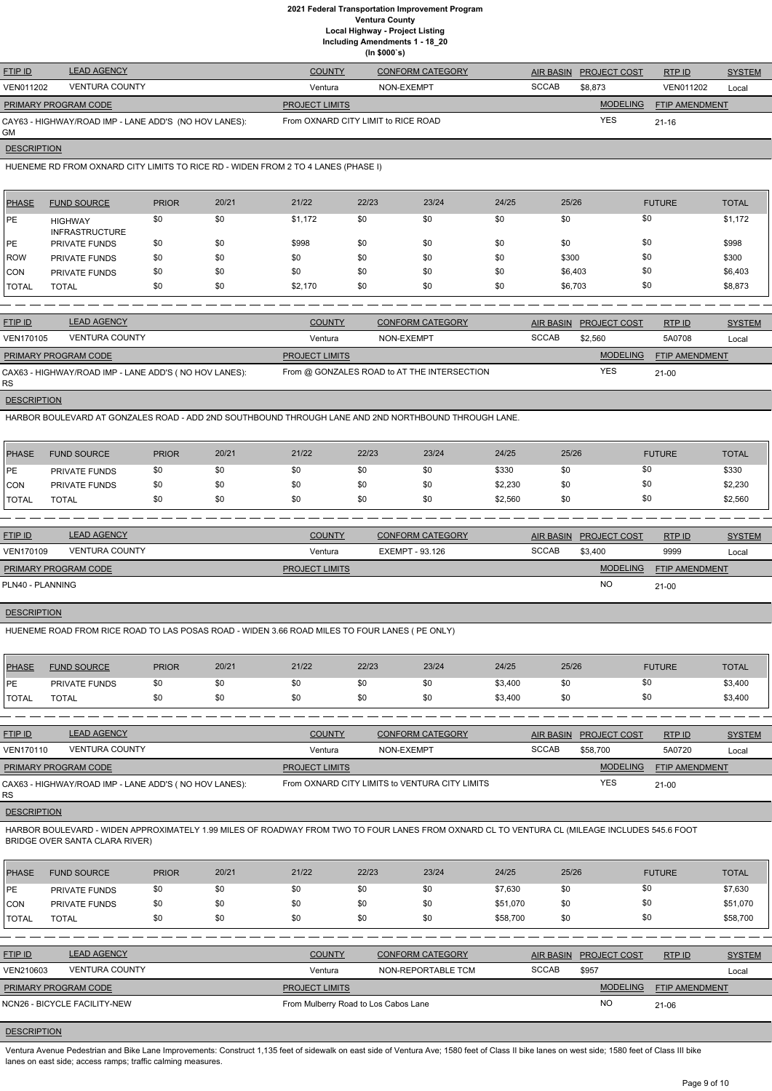|  | (ln \$000's) |
|--|--------------|
|--|--------------|

| <b>FTIP ID</b>       | <b>LEAD AGENCY</b>                                    | <b>COUNTY</b>                       | <b>CONFORM CATEGORY</b> |              | AIR BASIN PROJECT COST | RTPID          | <b>SYSTEM</b> |
|----------------------|-------------------------------------------------------|-------------------------------------|-------------------------|--------------|------------------------|----------------|---------------|
| <b>VEN011202</b>     | <b>VENTURA COUNTY</b>                                 | Ventura                             | NON-EXEMPT              | <b>SCCAB</b> | \$8.873                | VEN011202      | Local         |
| PRIMARY PROGRAM CODE |                                                       | <b>PROJECT LIMITS</b>               |                         |              | <b>MODELING</b>        | FTIP AMENDMENT |               |
| GМ                   | CAY63 - HIGHWAY/ROAD IMP - LANE ADD'S (NO HOV LANES): | From OXNARD CITY LIMIT to RICE ROAD |                         |              | <b>YES</b>             | $21 - 16$      |               |

**DESCRIPTION** 

HUENEME RD FROM OXNARD CITY LIMITS TO RICE RD - WIDEN FROM 2 TO 4 LANES (PHASE I)

| <b>PHASE</b> | <b>FUND SOURCE</b>                      | <b>PRIOR</b> | 20/21 | 21/22   | 22/23 | 23/24 | 24/25 | 25/26   | <b>FUTURE</b> | <b>TOTAL</b> |
|--------------|-----------------------------------------|--------------|-------|---------|-------|-------|-------|---------|---------------|--------------|
| <b>IPE</b>   | <b>HIGHWAY</b><br><b>INFRASTRUCTURE</b> | \$0          | \$0   | \$1,172 | \$0   | \$0   | \$0   | \$0     | \$0           | \$1,172      |
| <b>IPE</b>   | <b>PRIVATE FUNDS</b>                    | \$0          | \$0   | \$998   | \$0   | \$0   | \$0   | \$0     | \$0           | \$998        |
| <b>ROW</b>   | <b>PRIVATE FUNDS</b>                    | \$0          | \$0   | \$0     | \$0   | \$0   | \$0   | \$300   | \$0           | \$300        |
| ICON         | <b>PRIVATE FUNDS</b>                    | \$0          | \$0   | \$0     | \$0   | \$0   | \$0   | \$6,403 | \$0           | \$6,403      |
| <b>TOTAL</b> | <b>TOTAL</b>                            | \$0          | \$0   | \$2,170 | \$0   | \$0   | \$0   | \$6,703 | \$0           | \$8,873      |

| <b>FTIP ID</b>              | <b>LEAD AGENCY</b>                                    | <b>COUNTY</b>         | CONFORM CATEGORY                            | <b>AIR BASIN</b> | <b>PROJECT COST</b> | RTPID                 | <b>SYSTEM</b> |
|-----------------------------|-------------------------------------------------------|-----------------------|---------------------------------------------|------------------|---------------------|-----------------------|---------------|
| VEN170105                   | <b>VENTURA COUNTY</b>                                 | Ventura               | NON-EXEMPT                                  | <b>SCCAB</b>     | \$2.560             | 5A0708                | Local         |
| <b>PRIMARY PROGRAM CODE</b> |                                                       | <b>PROJECT LIMITS</b> |                                             |                  | <b>MODELING</b>     | <b>FTIP AMENDMENT</b> |               |
| <b>RS</b>                   | CAX63 - HIGHWAY/ROAD IMP - LANE ADD'S (NO HOV LANES): |                       | From @ GONZALES ROAD to AT THE INTERSECTION |                  | <b>YES</b>          | $21 - 00$             |               |

**DESCRIPTION** 

HARBOR BOULEVARD AT GONZALES ROAD - ADD 2ND SOUTHBOUND THROUGH LANE AND 2ND NORTHBOUND THROUGH LANE.

| <b>PHASE</b> | <b>FUND SOURCE</b>   | <b>PRIOR</b> | 20/21 | 21/22 | 22/23 | 23/24 | 24/25   | 25/26 | <b>FUTURE</b> | <b>TOTAL</b> |
|--------------|----------------------|--------------|-------|-------|-------|-------|---------|-------|---------------|--------------|
| PE           | <b>PRIVATE FUNDS</b> | \$0          | \$0   | \$0   | \$0   | \$0   | \$330   | \$0   | \$0           | \$330        |
| ICON         | <b>PRIVATE FUNDS</b> | \$0          | \$0   | \$0   | \$0   | \$0   | \$2,230 | \$0   | \$0           | \$2,230      |
| <b>TOTAL</b> | <b>TOTAL</b>         | \$0          | \$0   | \$0   | \$0   | \$0   | \$2,560 | \$0   | \$0           | \$2,560      |

| <b>FTIP ID</b>              | <b>LEAD AGENCY</b>    | <b>COUNTY</b>         | <b>CONFORM CATEGORY</b> | AIR BASIN    | <b>PROJECT COST</b> | RTPID                 | <b>SYSTEM</b> |
|-----------------------------|-----------------------|-----------------------|-------------------------|--------------|---------------------|-----------------------|---------------|
| VEN170109                   | <b>VENTURA COUNTY</b> | Ventura               | EXEMPT - 93.126         | <b>SCCAB</b> | \$3.400             | 9999                  | Local         |
| <b>PRIMARY PROGRAM CODE</b> |                       | <b>PROJECT LIMITS</b> |                         |              | <b>MODELING</b>     | <b>FTIP AMENDMENT</b> |               |
| PLN40 - PLANNING            |                       |                       |                         |              | <b>NO</b>           | $21 - 00$             |               |

# **DESCRIPTION**

HUENEME ROAD FROM RICE ROAD TO LAS POSAS ROAD - WIDEN 3.66 ROAD MILES TO FOUR LANES ( PE ONLY)

| <b>PHASE</b> | <b>FUND SOURCE</b>   | <b>PRIOR</b> | 20/21 | 21/22 | 22/23 | 23/24 | 24/25   | 25/26 | <b>FUTURE</b> | <b>TOTAL</b> |
|--------------|----------------------|--------------|-------|-------|-------|-------|---------|-------|---------------|--------------|
| <b>DE</b>    | <b>PRIVATE FUNDS</b> | \$0          |       | \$C   |       | \$0   | \$3,400 | \$0   | งบ            | \$3,400      |
| <b>TOTAL</b> | <b>TOTAL</b>         | \$0          |       |       |       | \$0   | \$3,400 | \$0   | ა∪            | \$3,400      |

| <b>FTIP ID</b>              | <b>LEAD AGENCY</b>                                     | <b>COUNTY</b>         | <b>CONFORM CATEGORY</b>                        |              | AIR BASIN PROJECT COST | RTP ID                | <b>SYSTEM</b> |
|-----------------------------|--------------------------------------------------------|-----------------------|------------------------------------------------|--------------|------------------------|-----------------------|---------------|
| <b>VEN170110</b>            | <b>VENTURA COUNTY</b>                                  | Ventura               | NON-EXEMPT                                     | <b>SCCAB</b> | \$58,700               | 5A0720                | Local         |
| <b>PRIMARY PROGRAM CODE</b> |                                                        | <b>PROJECT LIMITS</b> |                                                |              | <b>MODELING</b>        | <b>FTIP AMENDMENT</b> |               |
| RS.                         | CAX63 - HIGHWAY/ROAD IMP - LANE ADD'S ( NO HOV LANES): |                       | From OXNARD CITY LIMITS to VENTURA CITY LIMITS |              | <b>YES</b>             | $21-00$               |               |

**DESCRIPTION** 

HARBOR BOULEVARD - WIDEN APPROXIMATELY 1.99 MILES OF ROADWAY FROM TWO TO FOUR LANES FROM OXNARD CL TO VENTURA CL (MILEAGE INCLUDES 545.6 FOOT BRIDGE OVER SANTA CLARA RIVER)

| <b>PHASE</b>   | <b>FUND SOURCE</b>           | <b>PRIOR</b> | 20/21 | 21/22                                | 22/23 | 23/24                   | 24/25        | 25/26            |                     | <b>FUTURE</b>         | <b>TOTAL</b>  |
|----------------|------------------------------|--------------|-------|--------------------------------------|-------|-------------------------|--------------|------------------|---------------------|-----------------------|---------------|
| PE             | PRIVATE FUNDS                | \$0          | \$0   | \$0                                  | \$0   | \$0                     | \$7,630      | \$0              |                     | \$0                   | \$7,630       |
| ICON           | PRIVATE FUNDS                | \$0          | \$0   | \$0                                  | \$0   | \$0                     | \$51,070     | \$0              |                     | \$0                   | \$51,070      |
| <b>ITOTAL</b>  | <b>TOTAL</b>                 | \$0          | \$0   | \$0                                  | \$0   | \$0                     | \$58,700     | \$0              |                     | \$0                   | \$58,700      |
|                |                              |              |       |                                      |       |                         |              |                  |                     |                       |               |
| <b>FTIP ID</b> | <b>LEAD AGENCY</b>           |              |       | <b>COUNTY</b>                        |       | <b>CONFORM CATEGORY</b> |              | <b>AIR BASIN</b> | <b>PROJECT COST</b> | RTPID                 | <b>SYSTEM</b> |
| VEN210603      | <b>VENTURA COUNTY</b>        |              |       | Ventura                              |       | NON-REPORTABLE TCM      | <b>SCCAB</b> |                  | \$957               |                       | Local         |
|                | PRIMARY PROGRAM CODE         |              |       | <b>PROJECT LIMITS</b>                |       |                         |              |                  | <b>MODELING</b>     | <b>FTIP AMENDMENT</b> |               |
|                | NCN26 - BICYCLE FACILITY-NEW |              |       | From Mulberry Road to Los Cabos Lane |       |                         |              |                  | NO                  | 21-06                 |               |

# **DESCRIPTION**

Ventura Avenue Pedestrian and Bike Lane Improvements: Construct 1,135 feet of sidewalk on east side of Ventura Ave; 1580 feet of Class II bike lanes on west side; 1580 feet of Class III bike lanes on east side; access ramps; traffic calming measures.